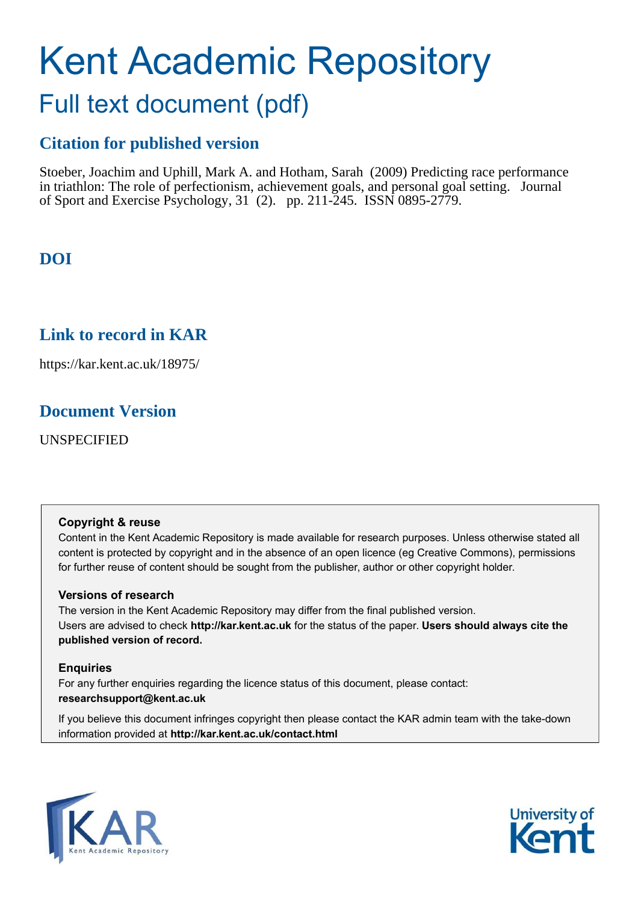# Kent Academic Repository

## Full text document (pdf)

## **Citation for published version**

Stoeber, Joachim and Uphill, Mark A. and Hotham, Sarah (2009) Predicting race performance in triathlon: The role of perfectionism, achievement goals, and personal goal setting. Journal of Sport and Exercise Psychology, 31 (2). pp. 211-245. ISSN 0895-2779.

## **DOI**

## **Link to record in KAR**

https://kar.kent.ac.uk/18975/

## **Document Version**

UNSPECIFIED

#### **Copyright & reuse**

Content in the Kent Academic Repository is made available for research purposes. Unless otherwise stated all content is protected by copyright and in the absence of an open licence (eg Creative Commons), permissions for further reuse of content should be sought from the publisher, author or other copyright holder.

#### **Versions of research**

The version in the Kent Academic Repository may differ from the final published version. Users are advised to check **http://kar.kent.ac.uk** for the status of the paper. **Users should always cite the published version of record.**

#### **Enquiries**

For any further enquiries regarding the licence status of this document, please contact: **researchsupport@kent.ac.uk**

If you believe this document infringes copyright then please contact the KAR admin team with the take-down information provided at **http://kar.kent.ac.uk/contact.html**



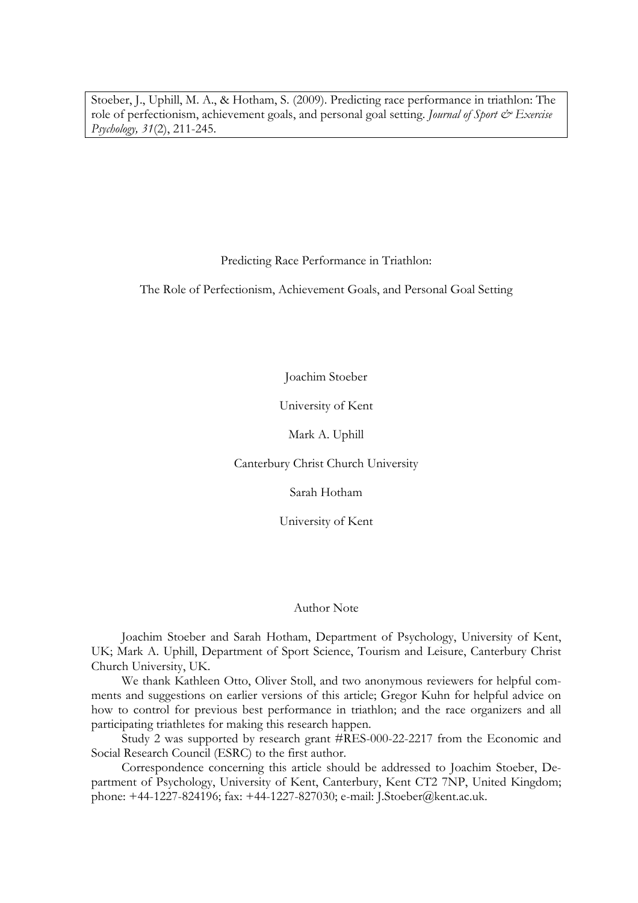Stoeber, J., Uphill, M. A., & Hotham, S. (2009). Predicting race performance in triathlon: The role of perfectionism, achievement goals, and personal goal setting. *Journal of Sport & Exercise Psychology, 31*(2), 211-245.

Predicting Race Performance in Triathlon:

The Role of Perfectionism, Achievement Goals, and Personal Goal Setting

Joachim Stoeber

University of Kent

Mark A. Uphill

Canterbury Christ Church University

Sarah Hotham

University of Kent

#### Author Note

Joachim Stoeber and Sarah Hotham, Department of Psychology, University of Kent, UK; Mark A. Uphill, Department of Sport Science, Tourism and Leisure, Canterbury Christ Church University, UK.

We thank Kathleen Otto, Oliver Stoll, and two anonymous reviewers for helpful comments and suggestions on earlier versions of this article; Gregor Kuhn for helpful advice on how to control for previous best performance in triathlon; and the race organizers and all participating triathletes for making this research happen.

Study 2 was supported by research grant #RES-000-22-2217 from the Economic and Social Research Council (ESRC) to the first author.

Correspondence concerning this article should be addressed to Joachim Stoeber, Department of Psychology, University of Kent, Canterbury, Kent CT2 7NP, United Kingdom; phone: +44-1227-824196; fax: +44-1227-827030; e-mail: J.Stoeber@kent.ac.uk.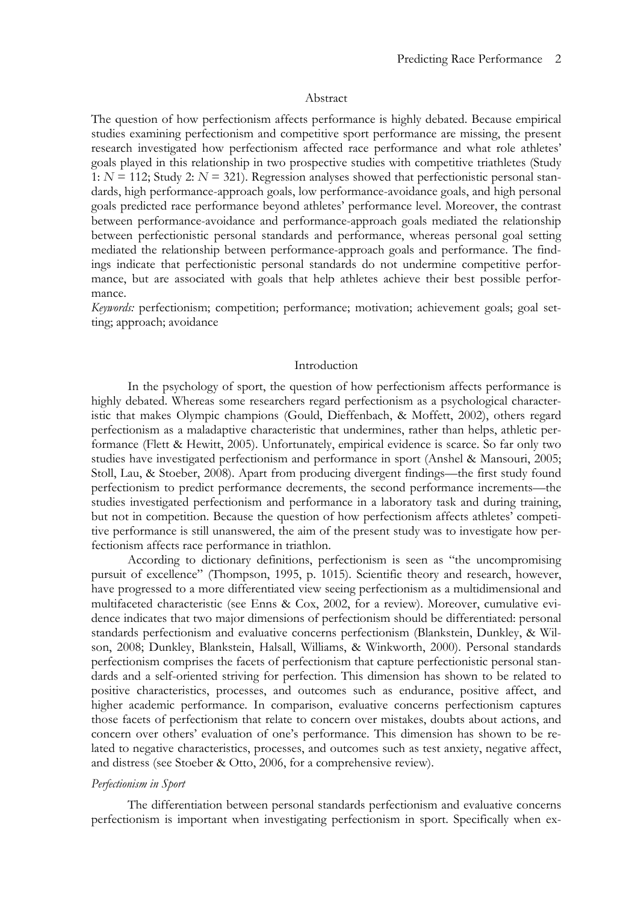#### Abstract

The question of how perfectionism affects performance is highly debated. Because empirical studies examining perfectionism and competitive sport performance are missing, the present research investigated how perfectionism affected race performance and what role athletes' goals played in this relationship in two prospective studies with competitive triathletes (Study 1:  $N = 112$ ; Study 2:  $N = 321$ ). Regression analyses showed that perfectionistic personal standards, high performance-approach goals, low performance-avoidance goals, and high personal goals predicted race performance beyond athletes' performance level. Moreover, the contrast between performance-avoidance and performance-approach goals mediated the relationship between perfectionistic personal standards and performance, whereas personal goal setting mediated the relationship between performance-approach goals and performance. The findings indicate that perfectionistic personal standards do not undermine competitive performance, but are associated with goals that help athletes achieve their best possible performance.

*Keywords:* perfectionism; competition; performance; motivation; achievement goals; goal setting; approach; avoidance

#### Introduction

In the psychology of sport, the question of how perfectionism affects performance is highly debated. Whereas some researchers regard perfectionism as a psychological characteristic that makes Olympic champions (Gould, Dieffenbach, & Moffett, 2002), others regard perfectionism as a maladaptive characteristic that undermines, rather than helps, athletic performance (Flett & Hewitt, 2005). Unfortunately, empirical evidence is scarce. So far only two studies have investigated perfectionism and performance in sport (Anshel & Mansouri, 2005; Stoll, Lau, & Stoeber, 2008). Apart from producing divergent findings—the first study found perfectionism to predict performance decrements, the second performance increments—the studies investigated perfectionism and performance in a laboratory task and during training, but not in competition. Because the question of how perfectionism affects athletes' competitive performance is still unanswered, the aim of the present study was to investigate how perfectionism affects race performance in triathlon.

According to dictionary definitions, perfectionism is seen as "the uncompromising pursuit of excellence" (Thompson, 1995, p. 1015). Scientific theory and research, however, have progressed to a more differentiated view seeing perfectionism as a multidimensional and multifaceted characteristic (see Enns & Cox, 2002, for a review). Moreover, cumulative evidence indicates that two major dimensions of perfectionism should be differentiated: personal standards perfectionism and evaluative concerns perfectionism (Blankstein, Dunkley, & Wilson, 2008; Dunkley, Blankstein, Halsall, Williams, & Winkworth, 2000). Personal standards perfectionism comprises the facets of perfectionism that capture perfectionistic personal standards and a self-oriented striving for perfection. This dimension has shown to be related to positive characteristics, processes, and outcomes such as endurance, positive affect, and higher academic performance. In comparison, evaluative concerns perfectionism captures those facets of perfectionism that relate to concern over mistakes, doubts about actions, and concern over others' evaluation of one's performance. This dimension has shown to be related to negative characteristics, processes, and outcomes such as test anxiety, negative affect, and distress (see Stoeber & Otto, 2006, for a comprehensive review).

#### *Perfectionism in Sport*

The differentiation between personal standards perfectionism and evaluative concerns perfectionism is important when investigating perfectionism in sport. Specifically when ex-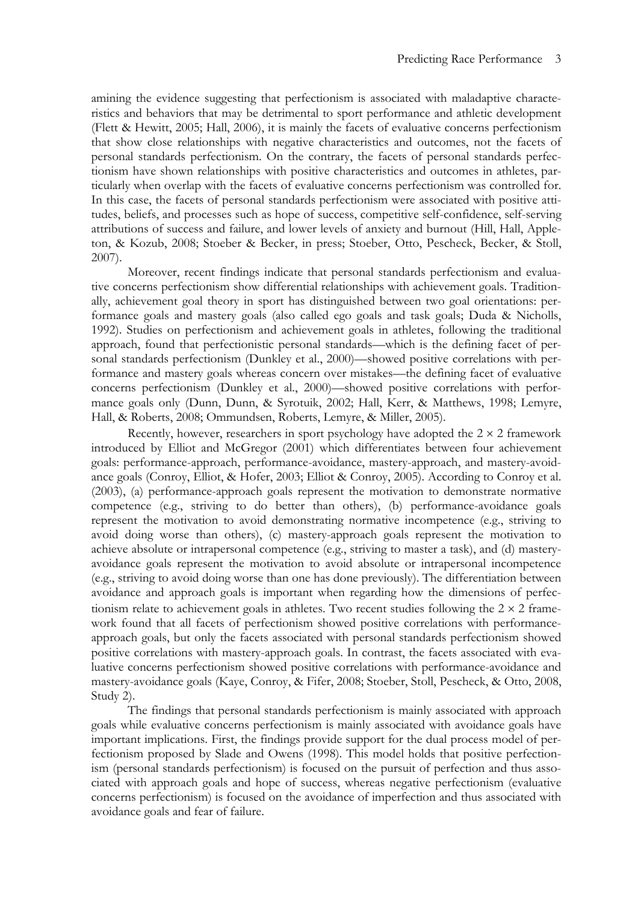amining the evidence suggesting that perfectionism is associated with maladaptive characteristics and behaviors that may be detrimental to sport performance and athletic development (Flett & Hewitt, 2005; Hall, 2006), it is mainly the facets of evaluative concerns perfectionism that show close relationships with negative characteristics and outcomes, not the facets of personal standards perfectionism. On the contrary, the facets of personal standards perfectionism have shown relationships with positive characteristics and outcomes in athletes, particularly when overlap with the facets of evaluative concerns perfectionism was controlled for. In this case, the facets of personal standards perfectionism were associated with positive attitudes, beliefs, and processes such as hope of success, competitive self-confidence, self-serving attributions of success and failure, and lower levels of anxiety and burnout (Hill, Hall, Appleton, & Kozub, 2008; Stoeber & Becker, in press; Stoeber, Otto, Pescheck, Becker, & Stoll, 2007).

Moreover, recent findings indicate that personal standards perfectionism and evaluative concerns perfectionism show differential relationships with achievement goals. Traditionally, achievement goal theory in sport has distinguished between two goal orientations: performance goals and mastery goals (also called ego goals and task goals; Duda & Nicholls, 1992). Studies on perfectionism and achievement goals in athletes, following the traditional approach, found that perfectionistic personal standards—which is the defining facet of personal standards perfectionism (Dunkley et al., 2000)—showed positive correlations with performance and mastery goals whereas concern over mistakes—the defining facet of evaluative concerns perfectionism (Dunkley et al., 2000)—showed positive correlations with performance goals only (Dunn, Dunn, & Syrotuik, 2002; Hall, Kerr, & Matthews, 1998; Lemyre, Hall, & Roberts, 2008; Ommundsen, Roberts, Lemyre, & Miller, 2005).

Recently, however, researchers in sport psychology have adopted the  $2 \times 2$  framework introduced by Elliot and McGregor (2001) which differentiates between four achievement goals: performance-approach, performance-avoidance, mastery-approach, and mastery-avoidance goals (Conroy, Elliot, & Hofer, 2003; Elliot & Conroy, 2005). According to Conroy et al. (2003), (a) performance-approach goals represent the motivation to demonstrate normative competence (e.g., striving to do better than others), (b) performance-avoidance goals represent the motivation to avoid demonstrating normative incompetence (e.g., striving to avoid doing worse than others), (c) mastery-approach goals represent the motivation to achieve absolute or intrapersonal competence (e.g., striving to master a task), and (d) masteryavoidance goals represent the motivation to avoid absolute or intrapersonal incompetence (e.g., striving to avoid doing worse than one has done previously). The differentiation between avoidance and approach goals is important when regarding how the dimensions of perfectionism relate to achievement goals in athletes. Two recent studies following the  $2 \times 2$  framework found that all facets of perfectionism showed positive correlations with performanceapproach goals, but only the facets associated with personal standards perfectionism showed positive correlations with mastery-approach goals. In contrast, the facets associated with evaluative concerns perfectionism showed positive correlations with performance-avoidance and mastery-avoidance goals (Kaye, Conroy, & Fifer, 2008; Stoeber, Stoll, Pescheck, & Otto, 2008, Study 2).

The findings that personal standards perfectionism is mainly associated with approach goals while evaluative concerns perfectionism is mainly associated with avoidance goals have important implications. First, the findings provide support for the dual process model of perfectionism proposed by Slade and Owens (1998). This model holds that positive perfectionism (personal standards perfectionism) is focused on the pursuit of perfection and thus associated with approach goals and hope of success, whereas negative perfectionism (evaluative concerns perfectionism) is focused on the avoidance of imperfection and thus associated with avoidance goals and fear of failure.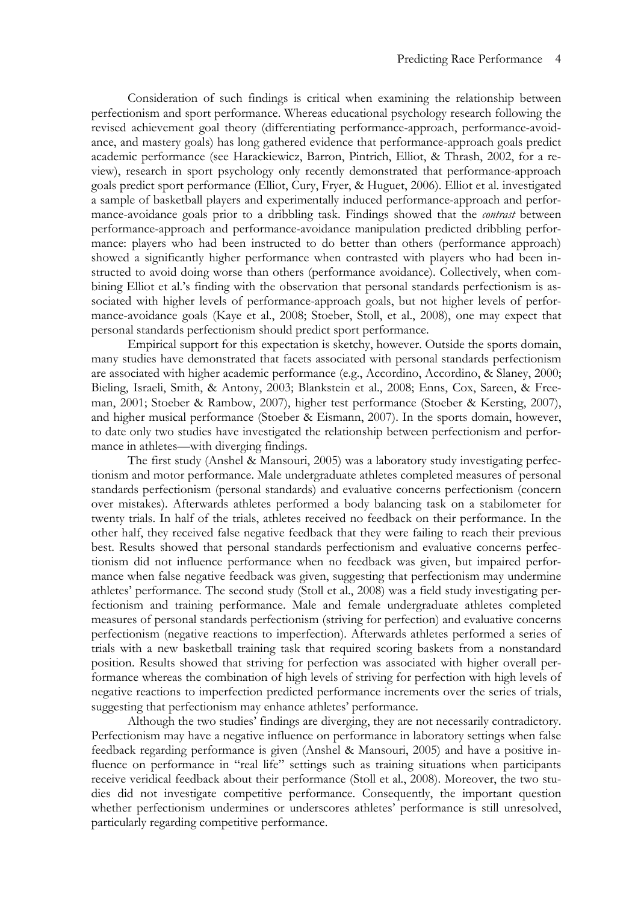Consideration of such findings is critical when examining the relationship between perfectionism and sport performance. Whereas educational psychology research following the revised achievement goal theory (differentiating performance-approach, performance-avoidance, and mastery goals) has long gathered evidence that performance-approach goals predict academic performance (see Harackiewicz, Barron, Pintrich, Elliot, & Thrash, 2002, for a review), research in sport psychology only recently demonstrated that performance-approach goals predict sport performance (Elliot, Cury, Fryer, & Huguet, 2006). Elliot et al. investigated a sample of basketball players and experimentally induced performance-approach and performance-avoidance goals prior to a dribbling task. Findings showed that the *contrast* between performance-approach and performance-avoidance manipulation predicted dribbling performance: players who had been instructed to do better than others (performance approach) showed a significantly higher performance when contrasted with players who had been instructed to avoid doing worse than others (performance avoidance). Collectively, when combining Elliot et al.'s finding with the observation that personal standards perfectionism is associated with higher levels of performance-approach goals, but not higher levels of performance-avoidance goals (Kaye et al., 2008; Stoeber, Stoll, et al., 2008), one may expect that personal standards perfectionism should predict sport performance.

Empirical support for this expectation is sketchy, however. Outside the sports domain, many studies have demonstrated that facets associated with personal standards perfectionism are associated with higher academic performance (e.g., Accordino, Accordino, & Slaney, 2000; Bieling, Israeli, Smith, & Antony, 2003; Blankstein et al., 2008; Enns, Cox, Sareen, & Freeman, 2001; Stoeber & Rambow, 2007), higher test performance (Stoeber & Kersting, 2007), and higher musical performance (Stoeber & Eismann, 2007). In the sports domain, however, to date only two studies have investigated the relationship between perfectionism and performance in athletes—with diverging findings.

The first study (Anshel & Mansouri, 2005) was a laboratory study investigating perfectionism and motor performance. Male undergraduate athletes completed measures of personal standards perfectionism (personal standards) and evaluative concerns perfectionism (concern over mistakes). Afterwards athletes performed a body balancing task on a stabilometer for twenty trials. In half of the trials, athletes received no feedback on their performance. In the other half, they received false negative feedback that they were failing to reach their previous best. Results showed that personal standards perfectionism and evaluative concerns perfectionism did not influence performance when no feedback was given, but impaired performance when false negative feedback was given, suggesting that perfectionism may undermine athletes' performance. The second study (Stoll et al., 2008) was a field study investigating perfectionism and training performance. Male and female undergraduate athletes completed measures of personal standards perfectionism (striving for perfection) and evaluative concerns perfectionism (negative reactions to imperfection). Afterwards athletes performed a series of trials with a new basketball training task that required scoring baskets from a nonstandard position. Results showed that striving for perfection was associated with higher overall performance whereas the combination of high levels of striving for perfection with high levels of negative reactions to imperfection predicted performance increments over the series of trials, suggesting that perfectionism may enhance athletes' performance.

Although the two studies' findings are diverging, they are not necessarily contradictory. Perfectionism may have a negative influence on performance in laboratory settings when false feedback regarding performance is given (Anshel & Mansouri, 2005) and have a positive influence on performance in "real life" settings such as training situations when participants receive veridical feedback about their performance (Stoll et al., 2008). Moreover, the two studies did not investigate competitive performance. Consequently, the important question whether perfectionism undermines or underscores athletes' performance is still unresolved, particularly regarding competitive performance.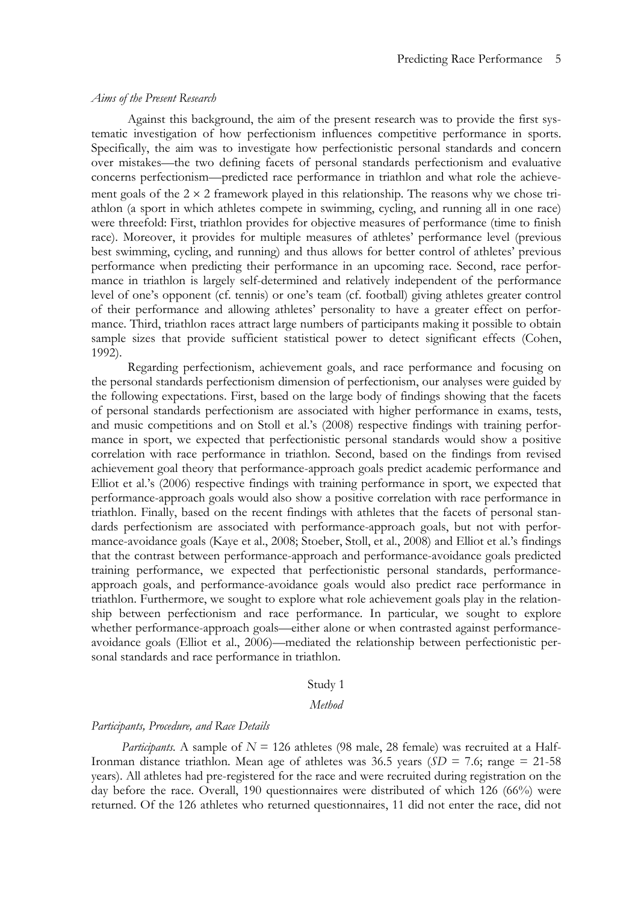#### *Aims of the Present Research*

Against this background, the aim of the present research was to provide the first systematic investigation of how perfectionism influences competitive performance in sports. Specifically, the aim was to investigate how perfectionistic personal standards and concern over mistakes—the two defining facets of personal standards perfectionism and evaluative concerns perfectionism—predicted race performance in triathlon and what role the achievement goals of the  $2 \times 2$  framework played in this relationship. The reasons why we chose triathlon (a sport in which athletes compete in swimming, cycling, and running all in one race) were threefold: First, triathlon provides for objective measures of performance (time to finish race). Moreover, it provides for multiple measures of athletes' performance level (previous best swimming, cycling, and running) and thus allows for better control of athletes' previous performance when predicting their performance in an upcoming race. Second, race performance in triathlon is largely self-determined and relatively independent of the performance level of one's opponent (cf. tennis) or one's team (cf. football) giving athletes greater control of their performance and allowing athletes' personality to have a greater effect on performance. Third, triathlon races attract large numbers of participants making it possible to obtain sample sizes that provide sufficient statistical power to detect significant effects (Cohen, 1992).

Regarding perfectionism, achievement goals, and race performance and focusing on the personal standards perfectionism dimension of perfectionism, our analyses were guided by the following expectations. First, based on the large body of findings showing that the facets of personal standards perfectionism are associated with higher performance in exams, tests, and music competitions and on Stoll et al.'s (2008) respective findings with training performance in sport, we expected that perfectionistic personal standards would show a positive correlation with race performance in triathlon. Second, based on the findings from revised achievement goal theory that performance-approach goals predict academic performance and Elliot et al.'s (2006) respective findings with training performance in sport, we expected that performance-approach goals would also show a positive correlation with race performance in triathlon. Finally, based on the recent findings with athletes that the facets of personal standards perfectionism are associated with performance-approach goals, but not with performance-avoidance goals (Kaye et al., 2008; Stoeber, Stoll, et al., 2008) and Elliot et al.'s findings that the contrast between performance-approach and performance-avoidance goals predicted training performance, we expected that perfectionistic personal standards, performanceapproach goals, and performance-avoidance goals would also predict race performance in triathlon. Furthermore, we sought to explore what role achievement goals play in the relationship between perfectionism and race performance. In particular, we sought to explore whether performance-approach goals—either alone or when contrasted against performanceavoidance goals (Elliot et al., 2006)—mediated the relationship between perfectionistic personal standards and race performance in triathlon.

#### Study 1

#### *Method*

#### *Participants, Procedure, and Race Details*

*Participants.* A sample of  $N = 126$  athletes (98 male, 28 female) was recruited at a Half-Ironman distance triathlon. Mean age of athletes was 36.5 years ( $SD = 7.6$ ; range = 21-58 years). All athletes had pre-registered for the race and were recruited during registration on the day before the race. Overall, 190 questionnaires were distributed of which 126 (66%) were returned. Of the 126 athletes who returned questionnaires, 11 did not enter the race, did not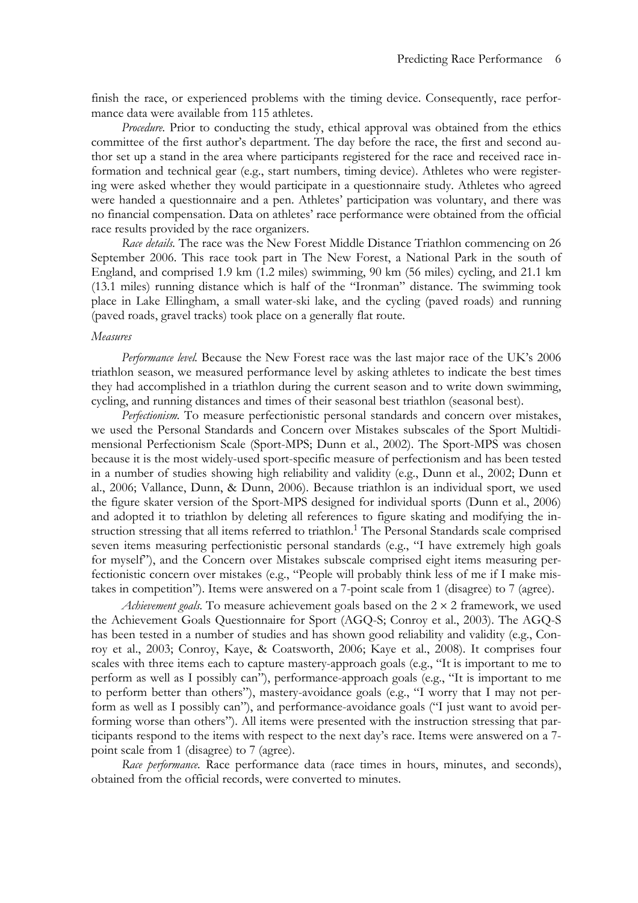finish the race, or experienced problems with the timing device. Consequently, race performance data were available from 115 athletes.

*Procedure.* Prior to conducting the study, ethical approval was obtained from the ethics committee of the first author's department. The day before the race, the first and second author set up a stand in the area where participants registered for the race and received race information and technical gear (e.g., start numbers, timing device). Athletes who were registering were asked whether they would participate in a questionnaire study. Athletes who agreed were handed a questionnaire and a pen. Athletes' participation was voluntary, and there was no financial compensation. Data on athletes' race performance were obtained from the official race results provided by the race organizers.

*Race details.* The race was the New Forest Middle Distance Triathlon commencing on 26 September 2006. This race took part in The New Forest, a National Park in the south of England, and comprised 1.9 km (1.2 miles) swimming, 90 km (56 miles) cycling, and 21.1 km  $(13.1 \text{ miles})$  running distance which is half of the "Ironman" distance. The swimming took place in Lake Ellingham, a small water-ski lake, and the cycling (paved roads) and running (paved roads, gravel tracks) took place on a generally flat route.

#### *Measures*

Performance level. Because the New Forest race was the last major race of the UK's 2006 triathlon season, we measured performance level by asking athletes to indicate the best times they had accomplished in a triathlon during the current season and to write down swimming, cycling, and running distances and times of their seasonal best triathlon (seasonal best).

*Perfectionism.* To measure perfectionistic personal standards and concern over mistakes, we used the Personal Standards and Concern over Mistakes subscales of the Sport Multidimensional Perfectionism Scale (Sport-MPS; Dunn et al., 2002). The Sport-MPS was chosen because it is the most widely-used sport-specific measure of perfectionism and has been tested in a number of studies showing high reliability and validity (e.g., Dunn et al., 2002; Dunn et al., 2006; Vallance, Dunn, & Dunn, 2006). Because triathlon is an individual sport, we used the figure skater version of the Sport-MPS designed for individual sports (Dunn et al., 2006) and adopted it to triathlon by deleting all references to figure skating and modifying the instruction stressing that all items referred to triathlon.<sup>1</sup> The Personal Standards scale comprised seven items measuring perfectionistic personal standards (e.g., "I have extremely high goals for myself"), and the Concern over Mistakes subscale comprised eight items measuring perfectionistic concern over mistakes (e.g., "People will probably think less of me if I make mistakes in competitionî). Items were answered on a 7-point scale from 1 (disagree) to 7 (agree).

*Achievement goals.* To measure achievement goals based on the 2 × 2 framework, we used the Achievement Goals Questionnaire for Sport (AGQ-S; Conroy et al., 2003). The AGQ-S has been tested in a number of studies and has shown good reliability and validity (e.g., Conroy et al., 2003; Conroy, Kaye, & Coatsworth, 2006; Kaye et al., 2008). It comprises four scales with three items each to capture mastery-approach goals (e.g., "It is important to me to perform as well as I possibly can"), performance-approach goals (e.g., "It is important to me to perform better than others"), mastery-avoidance goals (e.g., "I worry that I may not perform as well as I possibly can"), and performance-avoidance goals ("I just want to avoid performing worse than others"). All items were presented with the instruction stressing that participants respond to the items with respect to the next day's race. Items were answered on a 7point scale from 1 (disagree) to 7 (agree).

*Race performance.* Race performance data (race times in hours, minutes, and seconds), obtained from the official records, were converted to minutes.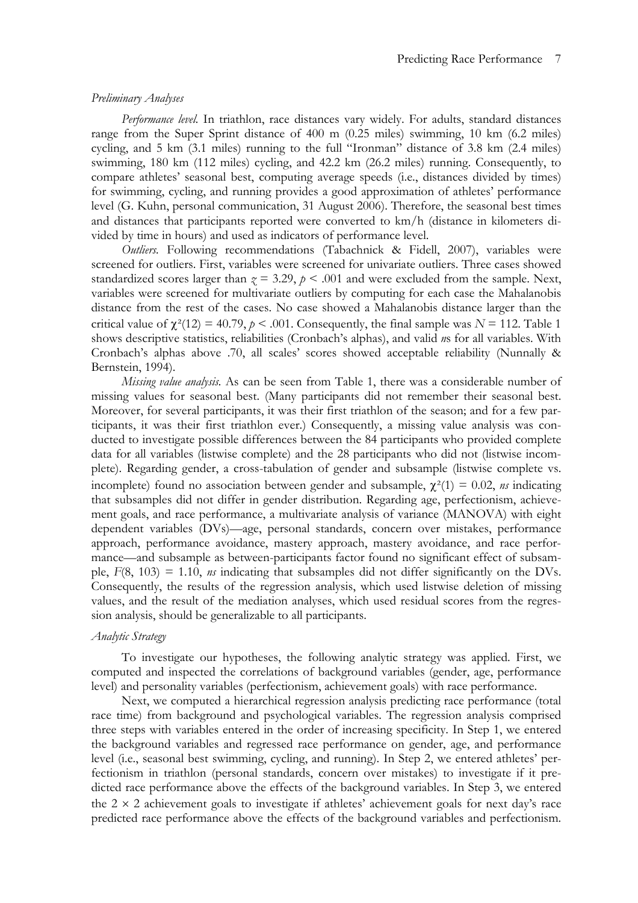#### *Preliminary Analyses*

*Performance level.* In triathlon, race distances vary widely. For adults, standard distances range from the Super Sprint distance of 400 m (0.25 miles) swimming, 10 km (6.2 miles) cycling, and  $5 \text{ km}$  (3.1 miles) running to the full "Ironman" distance of  $3.8 \text{ km}$  (2.4 miles) swimming, 180 km (112 miles) cycling, and 42.2 km (26.2 miles) running. Consequently, to compare athletes' seasonal best, computing average speeds (i.e., distances divided by times) for swimming, cycling, and running provides a good approximation of athletes' performance level (G. Kuhn, personal communication, 31 August 2006). Therefore, the seasonal best times and distances that participants reported were converted to km/h (distance in kilometers divided by time in hours) and used as indicators of performance level.

*Outliers.* Following recommendations (Tabachnick & Fidell, 2007), variables were screened for outliers. First, variables were screened for univariate outliers. Three cases showed standardized scores larger than  $\gamma = 3.29$ ,  $p < .001$  and were excluded from the sample. Next, variables were screened for multivariate outliers by computing for each case the Mahalanobis distance from the rest of the cases. No case showed a Mahalanobis distance larger than the critical value of  $\chi^2(12) = 40.79$ ,  $p < .001$ . Consequently, the final sample was  $N = 112$ . Table 1 shows descriptive statistics, reliabilities (Cronbach's alphas), and valid *n*s for all variables. With Cronbach's alphas above .70, all scales' scores showed acceptable reliability (Nunnally & Bernstein, 1994).

*Missing value analysis.* As can be seen from Table 1, there was a considerable number of missing values for seasonal best. (Many participants did not remember their seasonal best. Moreover, for several participants, it was their first triathlon of the season; and for a few participants, it was their first triathlon ever.) Consequently, a missing value analysis was conducted to investigate possible differences between the 84 participants who provided complete data for all variables (listwise complete) and the 28 participants who did not (listwise incomplete). Regarding gender, a cross-tabulation of gender and subsample (listwise complete vs. incomplete) found no association between gender and subsample,  $\chi^2(1) = 0.02$ , *ns* indicating that subsamples did not differ in gender distribution. Regarding age, perfectionism, achievement goals, and race performance, a multivariate analysis of variance (MANOVA) with eight dependent variables (DVs)—age, personal standards, concern over mistakes, performance approach, performance avoidance, mastery approach, mastery avoidance, and race performance—and subsample as between-participants factor found no significant effect of subsample,  $F(8, 103) = 1.10$ , *ns* indicating that subsamples did not differ significantly on the DVs. Consequently, the results of the regression analysis, which used listwise deletion of missing values, and the result of the mediation analyses, which used residual scores from the regression analysis, should be generalizable to all participants.

#### *Analytic Strategy*

To investigate our hypotheses, the following analytic strategy was applied. First, we computed and inspected the correlations of background variables (gender, age, performance level) and personality variables (perfectionism, achievement goals) with race performance.

Next, we computed a hierarchical regression analysis predicting race performance (total race time) from background and psychological variables. The regression analysis comprised three steps with variables entered in the order of increasing specificity. In Step 1, we entered the background variables and regressed race performance on gender, age, and performance level (i.e., seasonal best swimming, cycling, and running). In Step 2, we entered athletes' perfectionism in triathlon (personal standards, concern over mistakes) to investigate if it predicted race performance above the effects of the background variables. In Step 3, we entered the  $2 \times 2$  achievement goals to investigate if athletes' achievement goals for next day's race predicted race performance above the effects of the background variables and perfectionism.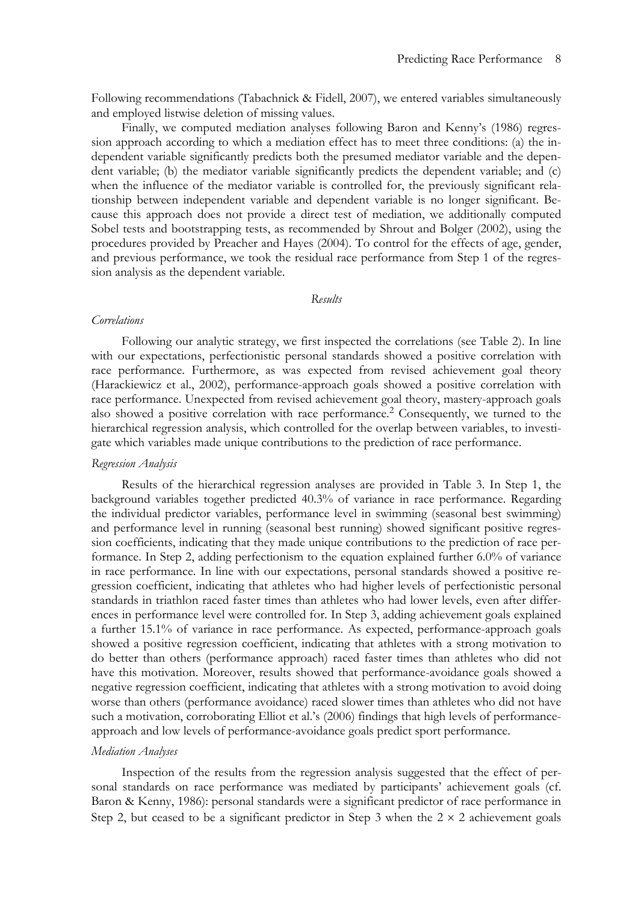Following recommendations (Tabachnick & Fidell, 2007), we entered variables simultaneously and employed listwise deletion of missing values.

Finally, we computed mediation analyses following Baron and Kenny's (1986) regression approach according to which a mediation effect has to meet three conditions: (a) the independent variable significantly predicts both the presumed mediator variable and the dependent variable; (b) the mediator variable significantly predicts the dependent variable; and (c) when the influence of the mediator variable is controlled for, the previously significant relationship between independent variable and dependent variable is no longer significant. Because this approach does not provide a direct test of mediation, we additionally computed Sobel tests and bootstrapping tests, as recommended by Shrout and Bolger (2002), using the procedures provided by Preacher and Hayes (2004). To control for the effects of age, gender, and previous performance, we took the residual race performance from Step 1 of the regression analysis as the dependent variable.

#### *Results*

#### *Correlations*

Following our analytic strategy, we first inspected the correlations (see Table 2). In line with our expectations, perfectionistic personal standards showed a positive correlation with race performance. Furthermore, as was expected from revised achievement goal theory (Harackiewicz et al., 2002), performance-approach goals showed a positive correlation with race performance. Unexpected from revised achievement goal theory, mastery-approach goals also showed a positive correlation with race performance.<sup>2</sup> Consequently, we turned to the hierarchical regression analysis, which controlled for the overlap between variables, to investigate which variables made unique contributions to the prediction of race performance.

#### *Regression Analysis*

Results of the hierarchical regression analyses are provided in Table 3. In Step 1, the background variables together predicted 40.3% of variance in race performance. Regarding the individual predictor variables, performance level in swimming (seasonal best swimming) and performance level in running (seasonal best running) showed significant positive regression coefficients, indicating that they made unique contributions to the prediction of race performance. In Step 2, adding perfectionism to the equation explained further 6.0% of variance in race performance. In line with our expectations, personal standards showed a positive regression coefficient, indicating that athletes who had higher levels of perfectionistic personal standards in triathlon raced faster times than athletes who had lower levels, even after differences in performance level were controlled for. In Step 3, adding achievement goals explained a further 15.1% of variance in race performance. As expected, performance-approach goals showed a positive regression coefficient, indicating that athletes with a strong motivation to do better than others (performance approach) raced faster times than athletes who did not have this motivation. Moreover, results showed that performance-avoidance goals showed a negative regression coefficient, indicating that athletes with a strong motivation to avoid doing worse than others (performance avoidance) raced slower times than athletes who did not have such a motivation, corroborating Elliot et al.'s (2006) findings that high levels of performanceapproach and low levels of performance-avoidance goals predict sport performance.

#### *Mediation Analyses*

Inspection of the results from the regression analysis suggested that the effect of personal standards on race performance was mediated by participants' achievement goals (cf. Baron & Kenny, 1986): personal standards were a significant predictor of race performance in Step 2, but ceased to be a significant predictor in Step 3 when the  $2 \times 2$  achievement goals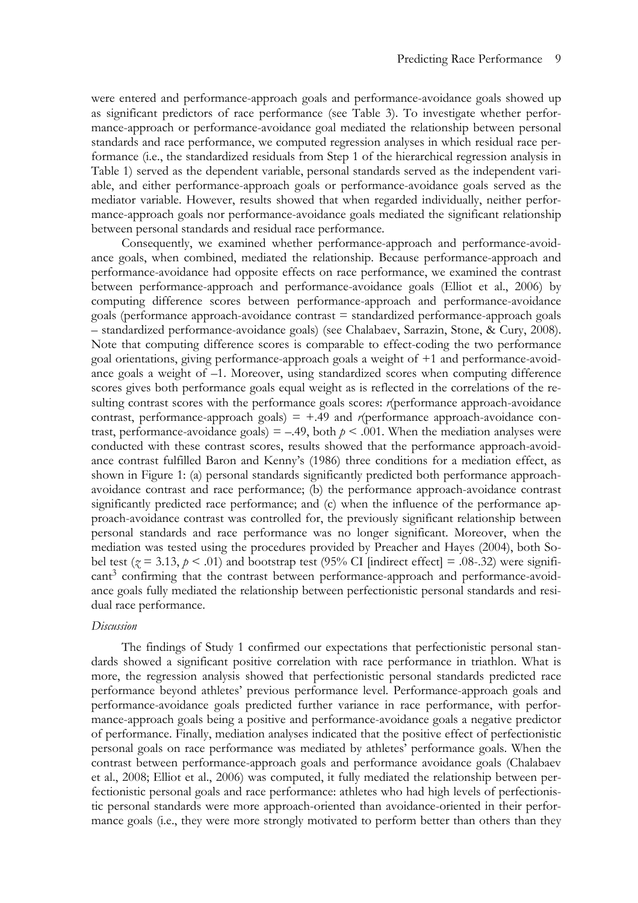were entered and performance-approach goals and performance-avoidance goals showed up as significant predictors of race performance (see Table 3). To investigate whether performance-approach or performance-avoidance goal mediated the relationship between personal standards and race performance, we computed regression analyses in which residual race performance (i.e., the standardized residuals from Step 1 of the hierarchical regression analysis in Table 1) served as the dependent variable, personal standards served as the independent variable, and either performance-approach goals or performance-avoidance goals served as the mediator variable. However, results showed that when regarded individually, neither performance-approach goals nor performance-avoidance goals mediated the significant relationship between personal standards and residual race performance.

Consequently, we examined whether performance-approach and performance-avoidance goals, when combined, mediated the relationship. Because performance-approach and performance-avoidance had opposite effects on race performance, we examined the contrast between performance-approach and performance-avoidance goals (Elliot et al., 2006) by computing difference scores between performance-approach and performance-avoidance goals (performance approach-avoidance contrast = standardized performance-approach goals - standardized performance-avoidance goals) (see Chalabaev, Sarrazin, Stone, & Cury, 2008). Note that computing difference scores is comparable to effect-coding the two performance goal orientations, giving performance-approach goals a weight of +1 and performance-avoidance goals a weight of  $-1$ . Moreover, using standardized scores when computing difference scores gives both performance goals equal weight as is reflected in the correlations of the resulting contrast scores with the performance goals scores: *r*(performance approach-avoidance contrast, performance-approach goals)  $= +.49$  and *r*(performance approach-avoidance contrast, performance-avoidance goals) =  $-49$ , both  $p < .001$ . When the mediation analyses were conducted with these contrast scores, results showed that the performance approach-avoidance contrast fulfilled Baron and Kennyís (1986) three conditions for a mediation effect, as shown in Figure 1: (a) personal standards significantly predicted both performance approachavoidance contrast and race performance; (b) the performance approach-avoidance contrast significantly predicted race performance; and (c) when the influence of the performance approach-avoidance contrast was controlled for, the previously significant relationship between personal standards and race performance was no longer significant. Moreover, when the mediation was tested using the procedures provided by Preacher and Hayes (2004), both Sobel test ( $\gamma$  = 3.13,  $p$  < .01) and bootstrap test (95% CI [indirect effect] = .08-.32) were significant<sup>3</sup> confirming that the contrast between performance-approach and performance-avoidance goals fully mediated the relationship between perfectionistic personal standards and residual race performance.

#### *Discussion*

The findings of Study 1 confirmed our expectations that perfectionistic personal standards showed a significant positive correlation with race performance in triathlon. What is more, the regression analysis showed that perfectionistic personal standards predicted race performance beyond athletes' previous performance level. Performance-approach goals and performance-avoidance goals predicted further variance in race performance, with performance-approach goals being a positive and performance-avoidance goals a negative predictor of performance. Finally, mediation analyses indicated that the positive effect of perfectionistic personal goals on race performance was mediated by athletes' performance goals. When the contrast between performance-approach goals and performance avoidance goals (Chalabaev et al., 2008; Elliot et al., 2006) was computed, it fully mediated the relationship between perfectionistic personal goals and race performance: athletes who had high levels of perfectionistic personal standards were more approach-oriented than avoidance-oriented in their performance goals (i.e., they were more strongly motivated to perform better than others than they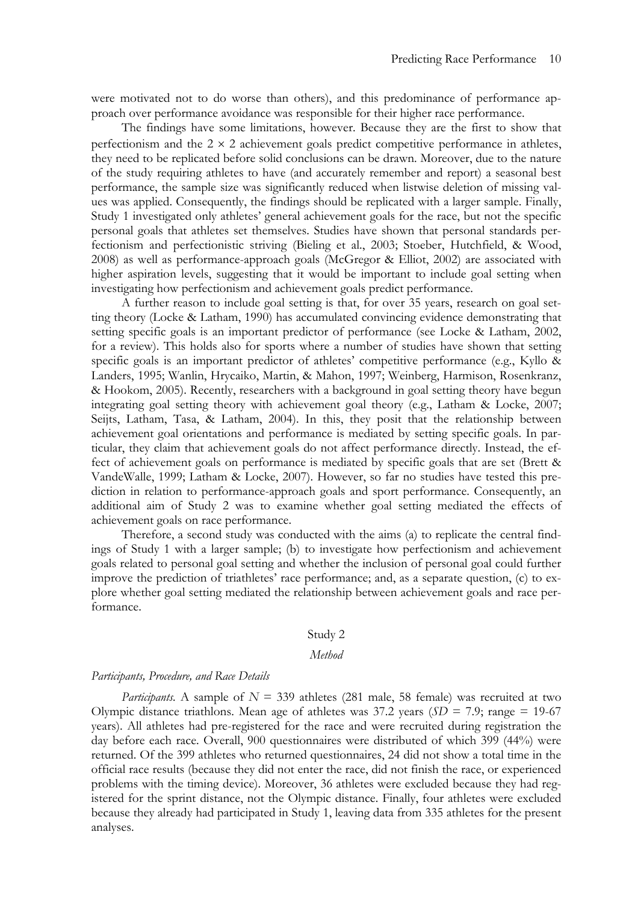were motivated not to do worse than others), and this predominance of performance approach over performance avoidance was responsible for their higher race performance.

The findings have some limitations, however. Because they are the first to show that perfectionism and the  $2 \times 2$  achievement goals predict competitive performance in athletes, they need to be replicated before solid conclusions can be drawn. Moreover, due to the nature of the study requiring athletes to have (and accurately remember and report) a seasonal best performance, the sample size was significantly reduced when listwise deletion of missing values was applied. Consequently, the findings should be replicated with a larger sample. Finally, Study 1 investigated only athletes' general achievement goals for the race, but not the specific personal goals that athletes set themselves. Studies have shown that personal standards perfectionism and perfectionistic striving (Bieling et al., 2003; Stoeber, Hutchfield, & Wood, 2008) as well as performance-approach goals (McGregor & Elliot, 2002) are associated with higher aspiration levels, suggesting that it would be important to include goal setting when investigating how perfectionism and achievement goals predict performance.

A further reason to include goal setting is that, for over 35 years, research on goal setting theory (Locke & Latham, 1990) has accumulated convincing evidence demonstrating that setting specific goals is an important predictor of performance (see Locke & Latham, 2002, for a review). This holds also for sports where a number of studies have shown that setting specific goals is an important predictor of athletes' competitive performance (e.g., Kyllo & Landers, 1995; Wanlin, Hrycaiko, Martin, & Mahon, 1997; Weinberg, Harmison, Rosenkranz, & Hookom, 2005). Recently, researchers with a background in goal setting theory have begun integrating goal setting theory with achievement goal theory (e.g., Latham & Locke, 2007; Seijts, Latham, Tasa, & Latham, 2004). In this, they posit that the relationship between achievement goal orientations and performance is mediated by setting specific goals. In particular, they claim that achievement goals do not affect performance directly. Instead, the effect of achievement goals on performance is mediated by specific goals that are set (Brett & VandeWalle, 1999; Latham & Locke, 2007). However, so far no studies have tested this prediction in relation to performance-approach goals and sport performance. Consequently, an additional aim of Study 2 was to examine whether goal setting mediated the effects of achievement goals on race performance.

Therefore, a second study was conducted with the aims (a) to replicate the central findings of Study 1 with a larger sample; (b) to investigate how perfectionism and achievement goals related to personal goal setting and whether the inclusion of personal goal could further improve the prediction of triathletes' race performance; and, as a separate question, (c) to explore whether goal setting mediated the relationship between achievement goals and race performance.

#### Study 2

#### *Method*

#### *Participants, Procedure, and Race Details*

*Participants.* A sample of  $N = 339$  athletes (281 male, 58 female) was recruited at two Olympic distance triathlons. Mean age of athletes was  $37.2$  years  $(SD = 7.9)$ ; range = 19-67 years). All athletes had pre-registered for the race and were recruited during registration the day before each race. Overall, 900 questionnaires were distributed of which 399 (44%) were returned. Of the 399 athletes who returned questionnaires, 24 did not show a total time in the official race results (because they did not enter the race, did not finish the race, or experienced problems with the timing device). Moreover, 36 athletes were excluded because they had registered for the sprint distance, not the Olympic distance. Finally, four athletes were excluded because they already had participated in Study 1, leaving data from 335 athletes for the present analyses.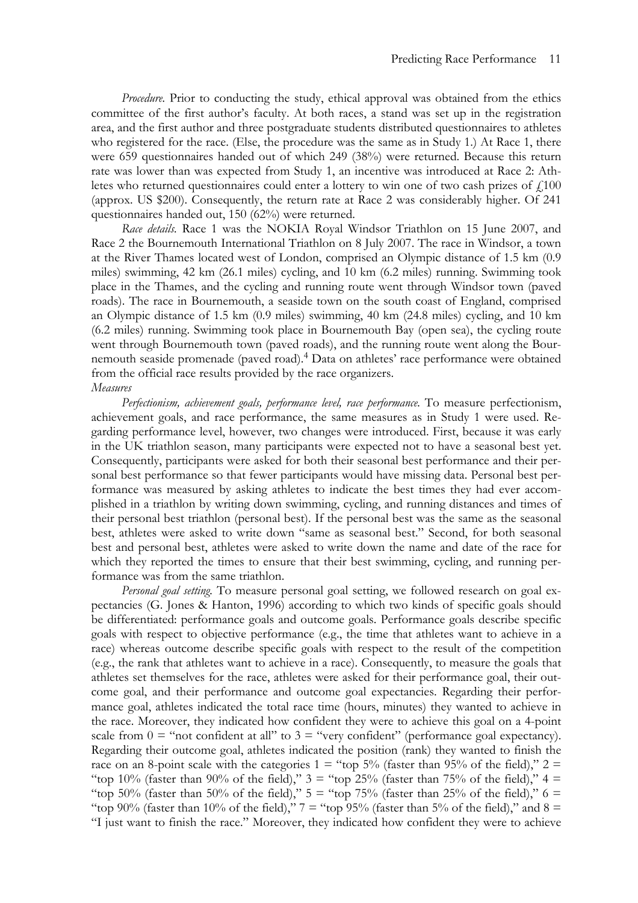*Procedure.* Prior to conducting the study, ethical approval was obtained from the ethics committee of the first author's faculty. At both races, a stand was set up in the registration area, and the first author and three postgraduate students distributed questionnaires to athletes who registered for the race. (Else, the procedure was the same as in Study 1.) At Race 1, there were 659 questionnaires handed out of which 249 (38%) were returned. Because this return rate was lower than was expected from Study 1, an incentive was introduced at Race 2: Athletes who returned questionnaires could enter a lottery to win one of two cash prizes of  $\ell_{100}$ (approx. US \$200). Consequently, the return rate at Race 2 was considerably higher. Of 241 questionnaires handed out, 150 (62%) were returned.

*Race details.* Race 1 was the NOKIA Royal Windsor Triathlon on 15 June 2007, and Race 2 the Bournemouth International Triathlon on 8 July 2007. The race in Windsor, a town at the River Thames located west of London, comprised an Olympic distance of 1.5 km (0.9 miles) swimming, 42 km (26.1 miles) cycling, and 10 km (6.2 miles) running. Swimming took place in the Thames, and the cycling and running route went through Windsor town (paved roads). The race in Bournemouth, a seaside town on the south coast of England, comprised an Olympic distance of 1.5 km (0.9 miles) swimming, 40 km (24.8 miles) cycling, and 10 km (6.2 miles) running. Swimming took place in Bournemouth Bay (open sea), the cycling route went through Bournemouth town (paved roads), and the running route went along the Bournemouth seaside promenade (paved road).<sup>4</sup> Data on athletes' race performance were obtained from the official race results provided by the race organizers. *Measures* 

*Perfectionism, achievement goals, performance level, race performance.* To measure perfectionism, achievement goals, and race performance, the same measures as in Study 1 were used. Regarding performance level, however, two changes were introduced. First, because it was early in the UK triathlon season, many participants were expected not to have a seasonal best yet. Consequently, participants were asked for both their seasonal best performance and their personal best performance so that fewer participants would have missing data. Personal best performance was measured by asking athletes to indicate the best times they had ever accomplished in a triathlon by writing down swimming, cycling, and running distances and times of their personal best triathlon (personal best). If the personal best was the same as the seasonal best, athletes were asked to write down "same as seasonal best." Second, for both seasonal best and personal best, athletes were asked to write down the name and date of the race for which they reported the times to ensure that their best swimming, cycling, and running performance was from the same triathlon.

*Personal goal setting.* To measure personal goal setting, we followed research on goal expectancies (G. Jones & Hanton, 1996) according to which two kinds of specific goals should be differentiated: performance goals and outcome goals. Performance goals describe specific goals with respect to objective performance (e.g., the time that athletes want to achieve in a race) whereas outcome describe specific goals with respect to the result of the competition (e.g., the rank that athletes want to achieve in a race). Consequently, to measure the goals that athletes set themselves for the race, athletes were asked for their performance goal, their outcome goal, and their performance and outcome goal expectancies. Regarding their performance goal, athletes indicated the total race time (hours, minutes) they wanted to achieve in the race. Moreover, they indicated how confident they were to achieve this goal on a 4-point scale from  $0 =$  "not confident at all" to  $3 =$  "very confident" (performance goal expectancy). Regarding their outcome goal, athletes indicated the position (rank) they wanted to finish the race on an 8-point scale with the categories  $1 = \text{``top } 5\%$  (faster than 95% of the field),"  $2 =$ "top 10% (faster than 90% of the field),"  $3 =$  "top 25% (faster than 75% of the field),"  $4 =$ "top 50% (faster than 50% of the field),"  $5 =$  "top 75% (faster than 25% of the field),"  $6 =$ "top 90% (faster than 10% of the field),"  $7 =$  "top 95% (faster than 5% of the field)," and  $8 =$ "I just want to finish the race." Moreover, they indicated how confident they were to achieve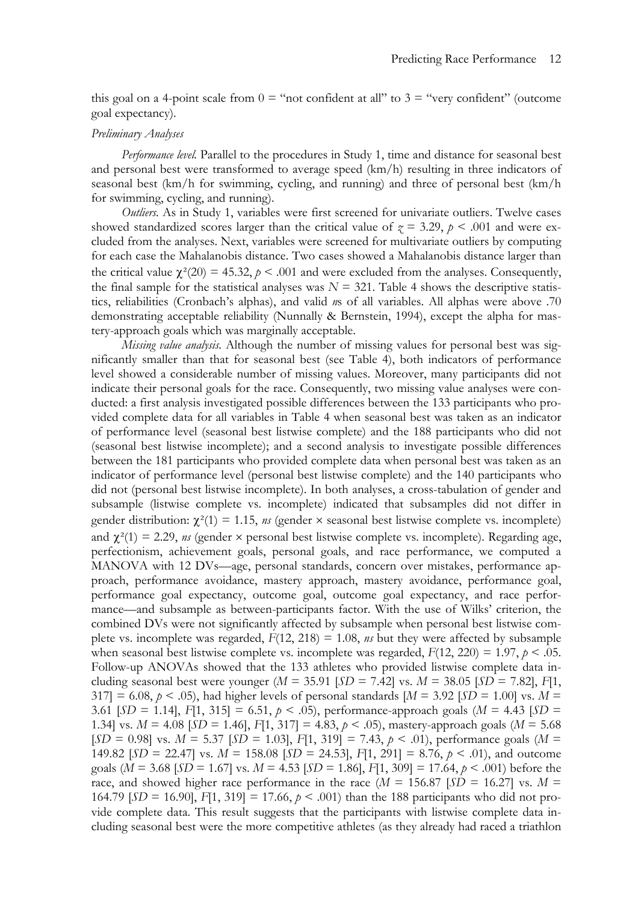this goal on a 4-point scale from  $0 =$  "not confident at all" to  $3 =$  "very confident" (outcome goal expectancy).

#### *Preliminary Analyses*

*Performance level.* Parallel to the procedures in Study 1, time and distance for seasonal best and personal best were transformed to average speed (km/h) resulting in three indicators of seasonal best (km/h for swimming, cycling, and running) and three of personal best (km/h for swimming, cycling, and running).

*Outliers.* As in Study 1, variables were first screened for univariate outliers. Twelve cases showed standardized scores larger than the critical value of  $\gamma = 3.29$ ,  $p < .001$  and were excluded from the analyses. Next, variables were screened for multivariate outliers by computing for each case the Mahalanobis distance. Two cases showed a Mahalanobis distance larger than the critical value  $\chi^2(20) = 45.32$ ,  $p < .001$  and were excluded from the analyses. Consequently, the final sample for the statistical analyses was  $N = 321$ . Table 4 shows the descriptive statistics, reliabilities (Cronbach's alphas), and valid *n*s of all variables. All alphas were above .70 demonstrating acceptable reliability (Nunnally & Bernstein, 1994), except the alpha for mastery-approach goals which was marginally acceptable.

*Missing value analysis.* Although the number of missing values for personal best was significantly smaller than that for seasonal best (see Table 4), both indicators of performance level showed a considerable number of missing values. Moreover, many participants did not indicate their personal goals for the race. Consequently, two missing value analyses were conducted: a first analysis investigated possible differences between the 133 participants who provided complete data for all variables in Table 4 when seasonal best was taken as an indicator of performance level (seasonal best listwise complete) and the 188 participants who did not (seasonal best listwise incomplete); and a second analysis to investigate possible differences between the 181 participants who provided complete data when personal best was taken as an indicator of performance level (personal best listwise complete) and the 140 participants who did not (personal best listwise incomplete). In both analyses, a cross-tabulation of gender and subsample (listwise complete vs. incomplete) indicated that subsamples did not differ in gender distribution:  $\chi^2(1) = 1.15$ , *ns* (gender  $\times$  seasonal best listwise complete vs. incomplete) and  $\chi^2(1) = 2.29$ , *ns* (gender  $\times$  personal best listwise complete vs. incomplete). Regarding age, perfectionism, achievement goals, personal goals, and race performance, we computed a MANOVA with 12 DVs—age, personal standards, concern over mistakes, performance approach, performance avoidance, mastery approach, mastery avoidance, performance goal, performance goal expectancy, outcome goal, outcome goal expectancy, and race performance—and subsample as between-participants factor. With the use of Wilks' criterion, the combined DVs were not significantly affected by subsample when personal best listwise complete vs. incomplete was regarded,  $F(12, 218) = 1.08$ , *ns* but they were affected by subsample when seasonal best listwise complete vs. incomplete was regarded,  $F(12, 220) = 1.97$ ,  $p < .05$ . Follow-up ANOVAs showed that the 133 athletes who provided listwise complete data including seasonal best were younger (*M* = 35.91 [*SD* = 7.42] vs. *M* = 38.05 [*SD* = 7.82], *F*[1,  $317$ ] = 6.08,  $p < .05$ ), had higher levels of personal standards  $[M = 3.92]$  [*SD* = 1.00] vs. *M* = 3.61 [*SD* = 1.14], *F*[1, 315] = 6.51, *p* < .05), performance-approach goals (*M* = 4.43 [*SD* = 1.34] vs.  $M = 4.08$  [*SD* = 1.46],  $F[1, 317] = 4.83$ ,  $p < .05$ ), mastery-approach goals ( $M = 5.68$ )  $[SD = 0.98]$  vs.  $M = 5.37$   $[SD = 1.03]$ ,  $F[1, 319] = 7.43$ ,  $p < .01$ ), performance goals (*M* = 149.82 [*SD* = 22.47] vs. *M* = 158.08 [*SD* = 24.53], *F*[1, 291] = 8.76, *p* < .01), and outcome goals ( $M = 3.68$  [ $SD = 1.67$ ] vs.  $M = 4.53$  [ $SD = 1.86$ ],  $F[1, 309] = 17.64$ ,  $p \le .001$ ) before the race, and showed higher race performance in the race  $(M = 156.87 \text{ } |SD = 16.27] \text{ vs. } M =$ 164.79 [*SD* = 16.90], *F*[1, 319] = 17.66,  $p < .001$  than the 188 participants who did not provide complete data. This result suggests that the participants with listwise complete data including seasonal best were the more competitive athletes (as they already had raced a triathlon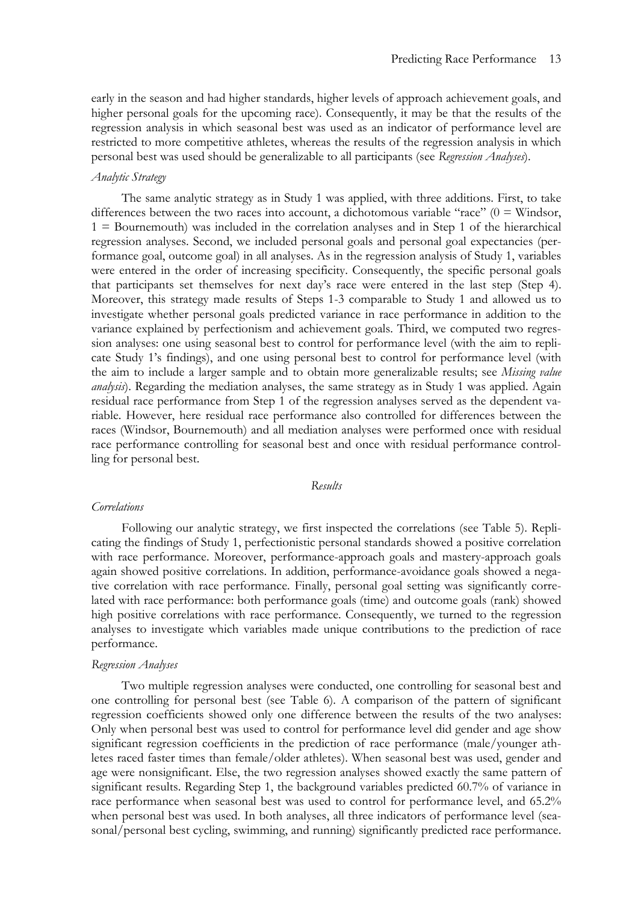early in the season and had higher standards, higher levels of approach achievement goals, and higher personal goals for the upcoming race). Consequently, it may be that the results of the regression analysis in which seasonal best was used as an indicator of performance level are restricted to more competitive athletes, whereas the results of the regression analysis in which personal best was used should be generalizable to all participants (see *Regression Analyses*).

#### *Analytic Strategy*

The same analytic strategy as in Study 1 was applied, with three additions. First, to take differences between the two races into account, a dichotomous variable "race" ( $0 =$  Windsor, 1 = Bournemouth) was included in the correlation analyses and in Step 1 of the hierarchical regression analyses. Second, we included personal goals and personal goal expectancies (performance goal, outcome goal) in all analyses. As in the regression analysis of Study 1, variables were entered in the order of increasing specificity. Consequently, the specific personal goals that participants set themselves for next day's race were entered in the last step (Step 4). Moreover, this strategy made results of Steps 1-3 comparable to Study 1 and allowed us to investigate whether personal goals predicted variance in race performance in addition to the variance explained by perfectionism and achievement goals. Third, we computed two regression analyses: one using seasonal best to control for performance level (with the aim to replicate Study 1's findings), and one using personal best to control for performance level (with the aim to include a larger sample and to obtain more generalizable results; see *Missing value analysis*). Regarding the mediation analyses, the same strategy as in Study 1 was applied. Again residual race performance from Step 1 of the regression analyses served as the dependent variable. However, here residual race performance also controlled for differences between the races (Windsor, Bournemouth) and all mediation analyses were performed once with residual race performance controlling for seasonal best and once with residual performance controlling for personal best.

#### *Results*

#### *Correlations*

Following our analytic strategy, we first inspected the correlations (see Table 5). Replicating the findings of Study 1, perfectionistic personal standards showed a positive correlation with race performance. Moreover, performance-approach goals and mastery-approach goals again showed positive correlations. In addition, performance-avoidance goals showed a negative correlation with race performance. Finally, personal goal setting was significantly correlated with race performance: both performance goals (time) and outcome goals (rank) showed high positive correlations with race performance. Consequently, we turned to the regression analyses to investigate which variables made unique contributions to the prediction of race performance.

#### *Regression Analyses*

Two multiple regression analyses were conducted, one controlling for seasonal best and one controlling for personal best (see Table 6). A comparison of the pattern of significant regression coefficients showed only one difference between the results of the two analyses: Only when personal best was used to control for performance level did gender and age show significant regression coefficients in the prediction of race performance (male/younger athletes raced faster times than female/older athletes). When seasonal best was used, gender and age were nonsignificant. Else, the two regression analyses showed exactly the same pattern of significant results. Regarding Step 1, the background variables predicted 60.7% of variance in race performance when seasonal best was used to control for performance level, and 65.2% when personal best was used. In both analyses, all three indicators of performance level (seasonal/personal best cycling, swimming, and running) significantly predicted race performance.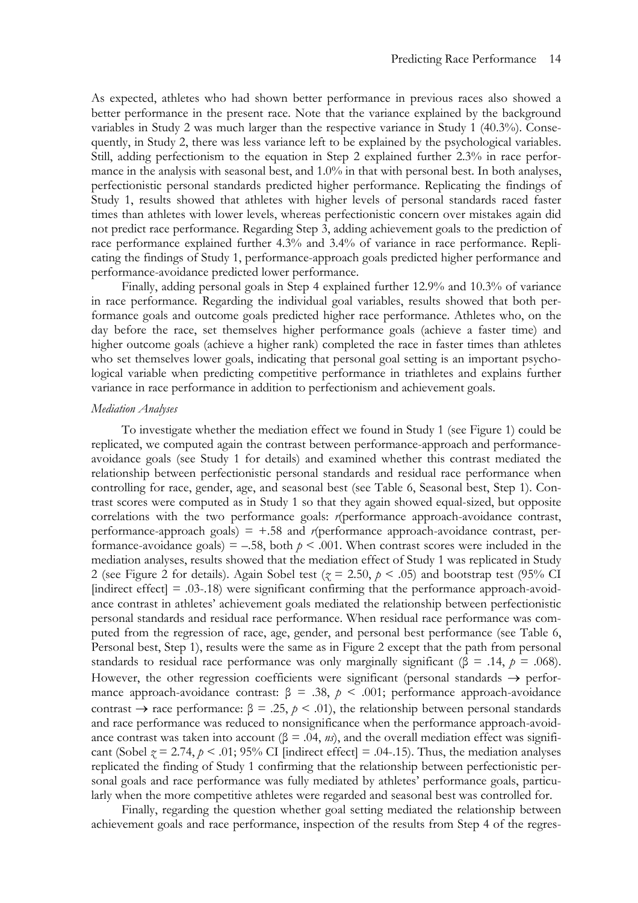As expected, athletes who had shown better performance in previous races also showed a better performance in the present race. Note that the variance explained by the background variables in Study 2 was much larger than the respective variance in Study 1 (40.3%). Consequently, in Study 2, there was less variance left to be explained by the psychological variables. Still, adding perfectionism to the equation in Step 2 explained further 2.3% in race performance in the analysis with seasonal best, and 1.0% in that with personal best. In both analyses, perfectionistic personal standards predicted higher performance. Replicating the findings of Study 1, results showed that athletes with higher levels of personal standards raced faster times than athletes with lower levels, whereas perfectionistic concern over mistakes again did not predict race performance. Regarding Step 3, adding achievement goals to the prediction of race performance explained further 4.3% and 3.4% of variance in race performance. Replicating the findings of Study 1, performance-approach goals predicted higher performance and performance-avoidance predicted lower performance.

Finally, adding personal goals in Step 4 explained further 12.9% and 10.3% of variance in race performance. Regarding the individual goal variables, results showed that both performance goals and outcome goals predicted higher race performance. Athletes who, on the day before the race, set themselves higher performance goals (achieve a faster time) and higher outcome goals (achieve a higher rank) completed the race in faster times than athletes who set themselves lower goals, indicating that personal goal setting is an important psychological variable when predicting competitive performance in triathletes and explains further variance in race performance in addition to perfectionism and achievement goals.

#### *Mediation Analyses*

To investigate whether the mediation effect we found in Study 1 (see Figure 1) could be replicated, we computed again the contrast between performance-approach and performanceavoidance goals (see Study 1 for details) and examined whether this contrast mediated the relationship between perfectionistic personal standards and residual race performance when controlling for race, gender, age, and seasonal best (see Table 6, Seasonal best, Step 1). Contrast scores were computed as in Study 1 so that they again showed equal-sized, but opposite correlations with the two performance goals: *r*(performance approach-avoidance contrast, performance-approach goals)  $= +.58$  and *r*(performance approach-avoidance contrast, performance-avoidance goals) =  $-.58$ , both  $p < .001$ . When contrast scores were included in the mediation analyses, results showed that the mediation effect of Study 1 was replicated in Study 2 (see Figure 2 for details). Again Sobel test ( $\gamma$  = 2.50,  $p$  < .05) and bootstrap test (95% CI  $[indirect effect] = .03-.18$ ) were significant confirming that the performance approach-avoidance contrast in athletes' achievement goals mediated the relationship between perfectionistic personal standards and residual race performance. When residual race performance was computed from the regression of race, age, gender, and personal best performance (see Table 6, Personal best, Step 1), results were the same as in Figure 2 except that the path from personal standards to residual race performance was only marginally significant ( $\beta$  = .14,  $p$  = .068). However, the other regression coefficients were significant (personal standards  $\rightarrow$  performance approach-avoidance contrast:  $\beta = .38$ ,  $p < .001$ ; performance approach-avoidance contrast  $\rightarrow$  race performance:  $\beta = .25$ ,  $p < .01$ ), the relationship between personal standards and race performance was reduced to nonsignificance when the performance approach-avoidance contrast was taken into account ( $\beta = .04$ , *ns*), and the overall mediation effect was significant (Sobel  $\gamma = 2.74$ ,  $\rho < .01$ ; 95% CI [indirect effect] = .04-.15). Thus, the mediation analyses replicated the finding of Study 1 confirming that the relationship between perfectionistic personal goals and race performance was fully mediated by athletes' performance goals, particularly when the more competitive athletes were regarded and seasonal best was controlled for.

Finally, regarding the question whether goal setting mediated the relationship between achievement goals and race performance, inspection of the results from Step 4 of the regres-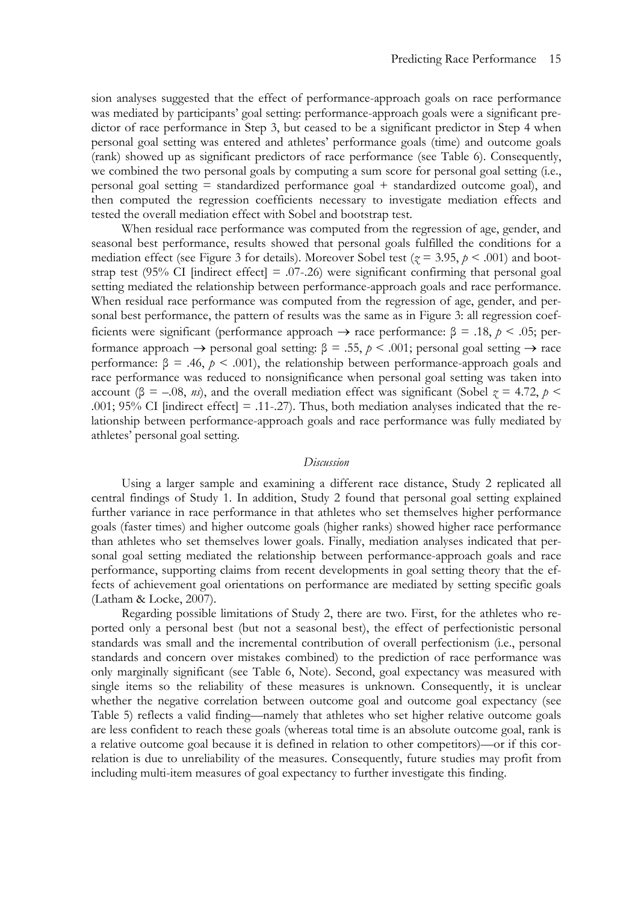sion analyses suggested that the effect of performance-approach goals on race performance was mediated by participants' goal setting: performance-approach goals were a significant predictor of race performance in Step 3, but ceased to be a significant predictor in Step 4 when personal goal setting was entered and athletesí performance goals (time) and outcome goals (rank) showed up as significant predictors of race performance (see Table 6). Consequently, we combined the two personal goals by computing a sum score for personal goal setting (i.e., personal goal setting = standardized performance goal + standardized outcome goal), and then computed the regression coefficients necessary to investigate mediation effects and tested the overall mediation effect with Sobel and bootstrap test.

When residual race performance was computed from the regression of age, gender, and seasonal best performance, results showed that personal goals fulfilled the conditions for a mediation effect (see Figure 3 for details). Moreover Sobel test ( $\gamma$  = 3.95,  $\rho$  < .001) and bootstrap test (95% CI [indirect effect]  $= .07-.26$ ) were significant confirming that personal goal setting mediated the relationship between performance-approach goals and race performance. When residual race performance was computed from the regression of age, gender, and personal best performance, the pattern of results was the same as in Figure 3: all regression coefficients were significant (performance approach  $\rightarrow$  race performance:  $\beta$  = .18,  $p$  < .05; performance approach  $\rightarrow$  personal goal setting:  $\beta = .55$ ,  $p < .001$ ; personal goal setting  $\rightarrow$  race performance:  $\beta$  = .46,  $p \le 0.001$ ), the relationship between performance-approach goals and race performance was reduced to nonsignificance when personal goal setting was taken into account ( $\beta$  = -.08, *ns*), and the overall mediation effect was significant (Sobel *z* = 4.72, *p* < .001; 95% CI [indirect effect] = .11-.27). Thus, both mediation analyses indicated that the relationship between performance-approach goals and race performance was fully mediated by athletes' personal goal setting.

#### *Discussion*

Using a larger sample and examining a different race distance, Study 2 replicated all central findings of Study 1. In addition, Study 2 found that personal goal setting explained further variance in race performance in that athletes who set themselves higher performance goals (faster times) and higher outcome goals (higher ranks) showed higher race performance than athletes who set themselves lower goals. Finally, mediation analyses indicated that personal goal setting mediated the relationship between performance-approach goals and race performance, supporting claims from recent developments in goal setting theory that the effects of achievement goal orientations on performance are mediated by setting specific goals (Latham & Locke, 2007).

Regarding possible limitations of Study 2, there are two. First, for the athletes who reported only a personal best (but not a seasonal best), the effect of perfectionistic personal standards was small and the incremental contribution of overall perfectionism (i.e., personal standards and concern over mistakes combined) to the prediction of race performance was only marginally significant (see Table 6, Note). Second, goal expectancy was measured with single items so the reliability of these measures is unknown. Consequently, it is unclear whether the negative correlation between outcome goal and outcome goal expectancy (see Table 5) reflects a valid finding—namely that athletes who set higher relative outcome goals are less confident to reach these goals (whereas total time is an absolute outcome goal, rank is a relative outcome goal because it is defined in relation to other competitors)—or if this correlation is due to unreliability of the measures. Consequently, future studies may profit from including multi-item measures of goal expectancy to further investigate this finding.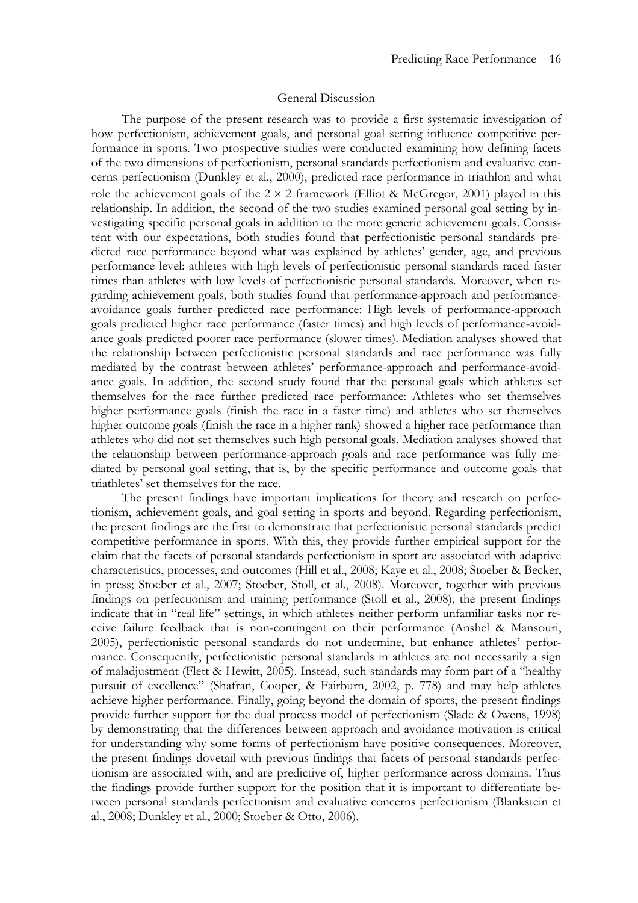#### General Discussion

The purpose of the present research was to provide a first systematic investigation of how perfectionism, achievement goals, and personal goal setting influence competitive performance in sports. Two prospective studies were conducted examining how defining facets of the two dimensions of perfectionism, personal standards perfectionism and evaluative concerns perfectionism (Dunkley et al., 2000), predicted race performance in triathlon and what role the achievement goals of the  $2 \times 2$  framework (Elliot & McGregor, 2001) played in this relationship. In addition, the second of the two studies examined personal goal setting by investigating specific personal goals in addition to the more generic achievement goals. Consistent with our expectations, both studies found that perfectionistic personal standards predicted race performance beyond what was explained by athletes' gender, age, and previous performance level: athletes with high levels of perfectionistic personal standards raced faster times than athletes with low levels of perfectionistic personal standards. Moreover, when regarding achievement goals, both studies found that performance-approach and performanceavoidance goals further predicted race performance: High levels of performance-approach goals predicted higher race performance (faster times) and high levels of performance-avoidance goals predicted poorer race performance (slower times). Mediation analyses showed that the relationship between perfectionistic personal standards and race performance was fully mediated by the contrast between athletes' performance-approach and performance-avoidance goals. In addition, the second study found that the personal goals which athletes set themselves for the race further predicted race performance: Athletes who set themselves higher performance goals (finish the race in a faster time) and athletes who set themselves higher outcome goals (finish the race in a higher rank) showed a higher race performance than athletes who did not set themselves such high personal goals. Mediation analyses showed that the relationship between performance-approach goals and race performance was fully mediated by personal goal setting, that is, by the specific performance and outcome goals that triathletes' set themselves for the race.

The present findings have important implications for theory and research on perfectionism, achievement goals, and goal setting in sports and beyond. Regarding perfectionism, the present findings are the first to demonstrate that perfectionistic personal standards predict competitive performance in sports. With this, they provide further empirical support for the claim that the facets of personal standards perfectionism in sport are associated with adaptive characteristics, processes, and outcomes (Hill et al., 2008; Kaye et al., 2008; Stoeber & Becker, in press; Stoeber et al., 2007; Stoeber, Stoll, et al., 2008). Moreover, together with previous findings on perfectionism and training performance (Stoll et al., 2008), the present findings indicate that in "real life" settings, in which athletes neither perform unfamiliar tasks nor receive failure feedback that is non-contingent on their performance (Anshel & Mansouri, 2005), perfectionistic personal standards do not undermine, but enhance athletes' performance. Consequently, perfectionistic personal standards in athletes are not necessarily a sign of maladjustment (Flett & Hewitt, 2005). Instead, such standards may form part of a "healthy pursuit of excellence" (Shafran, Cooper, & Fairburn, 2002, p. 778) and may help athletes achieve higher performance. Finally, going beyond the domain of sports, the present findings provide further support for the dual process model of perfectionism (Slade & Owens, 1998) by demonstrating that the differences between approach and avoidance motivation is critical for understanding why some forms of perfectionism have positive consequences. Moreover, the present findings dovetail with previous findings that facets of personal standards perfectionism are associated with, and are predictive of, higher performance across domains. Thus the findings provide further support for the position that it is important to differentiate between personal standards perfectionism and evaluative concerns perfectionism (Blankstein et al., 2008; Dunkley et al., 2000; Stoeber & Otto, 2006).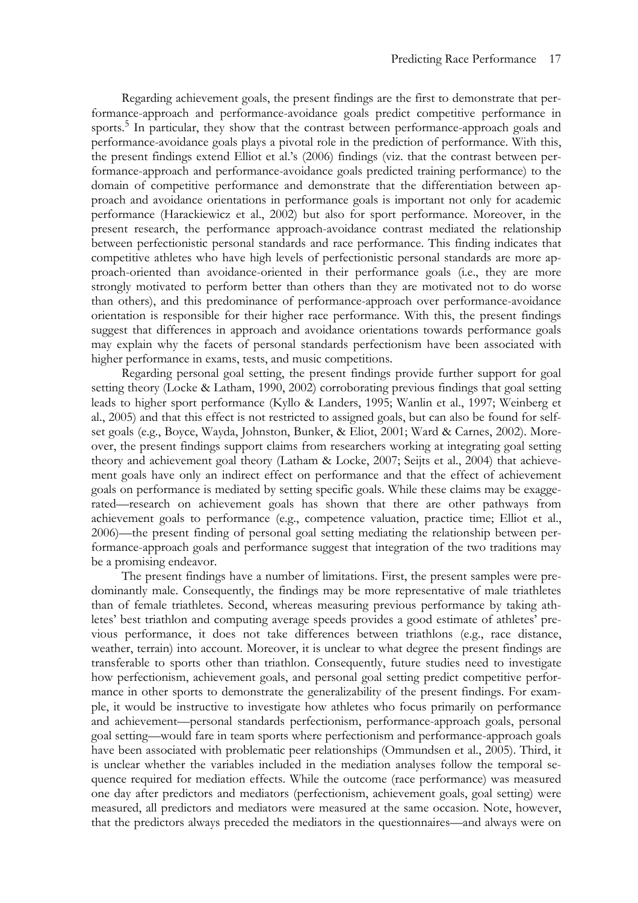Regarding achievement goals, the present findings are the first to demonstrate that performance-approach and performance-avoidance goals predict competitive performance in sports.<sup>5</sup> In particular, they show that the contrast between performance-approach goals and performance-avoidance goals plays a pivotal role in the prediction of performance. With this, the present findings extend Elliot et al.'s (2006) findings (viz. that the contrast between performance-approach and performance-avoidance goals predicted training performance) to the domain of competitive performance and demonstrate that the differentiation between approach and avoidance orientations in performance goals is important not only for academic performance (Harackiewicz et al., 2002) but also for sport performance. Moreover, in the present research, the performance approach-avoidance contrast mediated the relationship between perfectionistic personal standards and race performance. This finding indicates that competitive athletes who have high levels of perfectionistic personal standards are more approach-oriented than avoidance-oriented in their performance goals (i.e., they are more strongly motivated to perform better than others than they are motivated not to do worse than others), and this predominance of performance-approach over performance-avoidance orientation is responsible for their higher race performance. With this, the present findings suggest that differences in approach and avoidance orientations towards performance goals may explain why the facets of personal standards perfectionism have been associated with higher performance in exams, tests, and music competitions.

Regarding personal goal setting, the present findings provide further support for goal setting theory (Locke & Latham, 1990, 2002) corroborating previous findings that goal setting leads to higher sport performance (Kyllo & Landers, 1995; Wanlin et al., 1997; Weinberg et al., 2005) and that this effect is not restricted to assigned goals, but can also be found for selfset goals (e.g., Boyce, Wayda, Johnston, Bunker, & Eliot, 2001; Ward & Carnes, 2002). Moreover, the present findings support claims from researchers working at integrating goal setting theory and achievement goal theory (Latham & Locke, 2007; Seijts et al., 2004) that achievement goals have only an indirect effect on performance and that the effect of achievement goals on performance is mediated by setting specific goals. While these claims may be exaggerated—research on achievement goals has shown that there are other pathways from achievement goals to performance (e.g., competence valuation, practice time; Elliot et al., 2006)—the present finding of personal goal setting mediating the relationship between performance-approach goals and performance suggest that integration of the two traditions may be a promising endeavor.

The present findings have a number of limitations. First, the present samples were predominantly male. Consequently, the findings may be more representative of male triathletes than of female triathletes. Second, whereas measuring previous performance by taking athletes' best triathlon and computing average speeds provides a good estimate of athletes' previous performance, it does not take differences between triathlons (e.g., race distance, weather, terrain) into account. Moreover, it is unclear to what degree the present findings are transferable to sports other than triathlon. Consequently, future studies need to investigate how perfectionism, achievement goals, and personal goal setting predict competitive performance in other sports to demonstrate the generalizability of the present findings. For example, it would be instructive to investigate how athletes who focus primarily on performance and achievement—personal standards perfectionism, performance-approach goals, personal goal setting—would fare in team sports where perfectionism and performance-approach goals have been associated with problematic peer relationships (Ommundsen et al., 2005). Third, it is unclear whether the variables included in the mediation analyses follow the temporal sequence required for mediation effects. While the outcome (race performance) was measured one day after predictors and mediators (perfectionism, achievement goals, goal setting) were measured, all predictors and mediators were measured at the same occasion. Note, however, that the predictors always preceded the mediators in the questionnaires—and always were on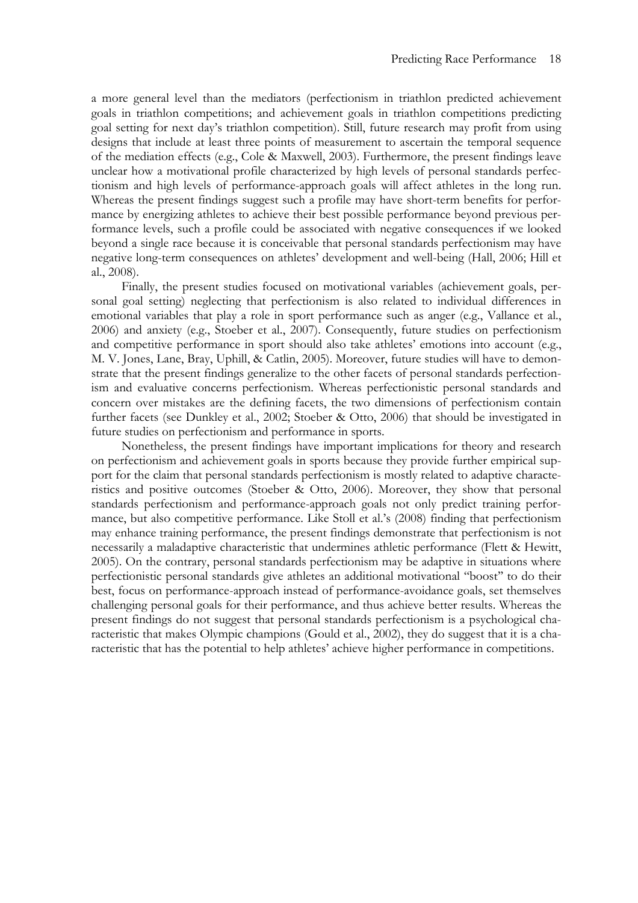a more general level than the mediators (perfectionism in triathlon predicted achievement goals in triathlon competitions; and achievement goals in triathlon competitions predicting goal setting for next dayís triathlon competition). Still, future research may profit from using designs that include at least three points of measurement to ascertain the temporal sequence of the mediation effects (e.g., Cole & Maxwell, 2003). Furthermore, the present findings leave unclear how a motivational profile characterized by high levels of personal standards perfectionism and high levels of performance-approach goals will affect athletes in the long run. Whereas the present findings suggest such a profile may have short-term benefits for performance by energizing athletes to achieve their best possible performance beyond previous performance levels, such a profile could be associated with negative consequences if we looked beyond a single race because it is conceivable that personal standards perfectionism may have negative long-term consequences on athletes' development and well-being (Hall, 2006; Hill et al., 2008).

Finally, the present studies focused on motivational variables (achievement goals, personal goal setting) neglecting that perfectionism is also related to individual differences in emotional variables that play a role in sport performance such as anger (e.g., Vallance et al., 2006) and anxiety (e.g., Stoeber et al., 2007). Consequently, future studies on perfectionism and competitive performance in sport should also take athletes' emotions into account (e.g., M. V. Jones, Lane, Bray, Uphill, & Catlin, 2005). Moreover, future studies will have to demonstrate that the present findings generalize to the other facets of personal standards perfectionism and evaluative concerns perfectionism. Whereas perfectionistic personal standards and concern over mistakes are the defining facets, the two dimensions of perfectionism contain further facets (see Dunkley et al., 2002; Stoeber & Otto, 2006) that should be investigated in future studies on perfectionism and performance in sports.

Nonetheless, the present findings have important implications for theory and research on perfectionism and achievement goals in sports because they provide further empirical support for the claim that personal standards perfectionism is mostly related to adaptive characteristics and positive outcomes (Stoeber & Otto, 2006). Moreover, they show that personal standards perfectionism and performance-approach goals not only predict training performance, but also competitive performance. Like Stoll et al.'s (2008) finding that perfectionism may enhance training performance, the present findings demonstrate that perfectionism is not necessarily a maladaptive characteristic that undermines athletic performance (Flett & Hewitt, 2005). On the contrary, personal standards perfectionism may be adaptive in situations where perfectionistic personal standards give athletes an additional motivational "boost" to do their best, focus on performance-approach instead of performance-avoidance goals, set themselves challenging personal goals for their performance, and thus achieve better results. Whereas the present findings do not suggest that personal standards perfectionism is a psychological characteristic that makes Olympic champions (Gould et al., 2002), they do suggest that it is a characteristic that has the potential to help athletes' achieve higher performance in competitions.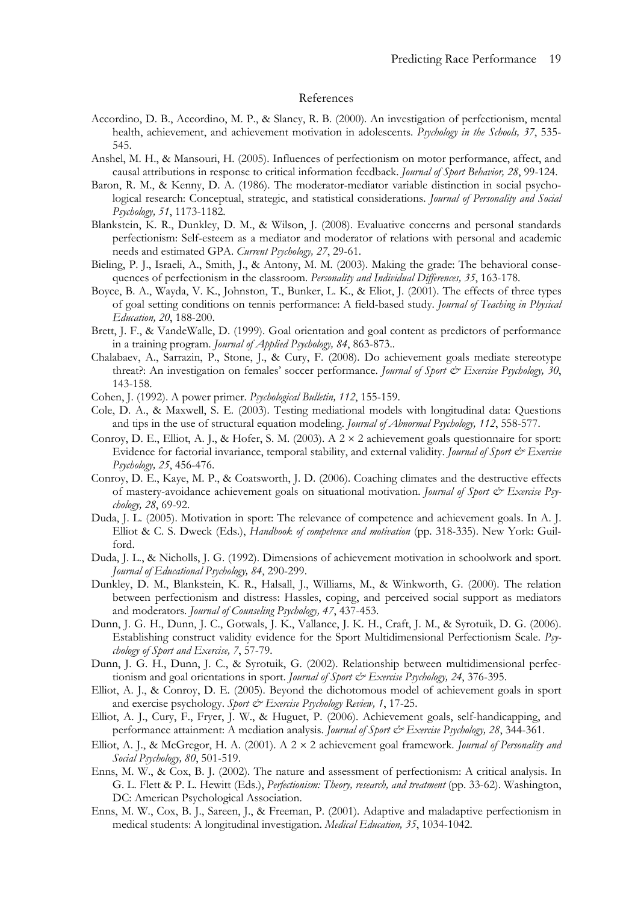#### References

- Accordino, D. B., Accordino, M. P., & Slaney, R. B. (2000). An investigation of perfectionism, mental health, achievement, and achievement motivation in adolescents. *Psychology in the Schools, 37*, 535- 545.
- Anshel, M. H., & Mansouri, H. (2005). Influences of perfectionism on motor performance, affect, and causal attributions in response to critical information feedback. *Journal of Sport Behavior, 28*, 99-124.
- Baron, R. M., & Kenny, D. A. (1986). The moderator-mediator variable distinction in social psychological research: Conceptual, strategic, and statistical considerations. *Journal of Personality and Social Psychology, 51*, 1173-1182.
- Blankstein, K. R., Dunkley, D. M., & Wilson, J. (2008). Evaluative concerns and personal standards perfectionism: Self-esteem as a mediator and moderator of relations with personal and academic needs and estimated GPA. *Current Psychology, 27*, 29-61.
- Bieling, P. J., Israeli, A., Smith, J., & Antony, M. M. (2003). Making the grade: The behavioral consequences of perfectionism in the classroom. *Personality and Individual Differences, 35*, 163-178.
- Boyce, B. A., Wayda, V. K., Johnston, T., Bunker, L. K., & Eliot, J. (2001). The effects of three types of goal setting conditions on tennis performance: A field-based study. *Journal of Teaching in Physical Education, 20*, 188-200.
- Brett, J. F., & VandeWalle, D. (1999). Goal orientation and goal content as predictors of performance in a training program. *Journal of Applied Psychology, 84*, 863-873..
- Chalabaev, A., Sarrazin, P., Stone, J., & Cury, F. (2008). Do achievement goals mediate stereotype threat?: An investigation on females' soccer performance. *Journal of Sport & Exercise Psychology*, 30, 143-158.
- Cohen, J. (1992). A power primer. *Psychological Bulletin, 112*, 155-159.
- Cole, D. A., & Maxwell, S. E. (2003). Testing mediational models with longitudinal data: Questions and tips in the use of structural equation modeling. *Journal of Abnormal Psychology, 112*, 558-577.
- Conroy, D. E., Elliot, A. J., & Hofer, S. M. (2003). A  $2 \times 2$  achievement goals questionnaire for sport: Evidence for factorial invariance, temporal stability, and external validity. *Journal of Sport & Exercise Psychology, 25*, 456-476.
- Conroy, D. E., Kaye, M. P., & Coatsworth, J. D. (2006). Coaching climates and the destructive effects of mastery-avoidance achievement goals on situational motivation. *Journal of Sport & Exercise Psychology, 28*, 69-92.
- Duda, J. L. (2005). Motivation in sport: The relevance of competence and achievement goals. In A. J. Elliot & C. S. Dweck (Eds.), *Handbook of competence and motivation* (pp. 318-335). New York: Guilford.
- Duda, J. L., & Nicholls, J. G. (1992). Dimensions of achievement motivation in schoolwork and sport. *Journal of Educational Psychology, 84*, 290-299.
- Dunkley, D. M., Blankstein, K. R., Halsall, J., Williams, M., & Winkworth, G. (2000). The relation between perfectionism and distress: Hassles, coping, and perceived social support as mediators and moderators. *Journal of Counseling Psychology, 47*, 437-453.
- Dunn, J. G. H., Dunn, J. C., Gotwals, J. K., Vallance, J. K. H., Craft, J. M., & Syrotuik, D. G. (2006). Establishing construct validity evidence for the Sport Multidimensional Perfectionism Scale. *Psychology of Sport and Exercise, 7*, 57-79.
- Dunn, J. G. H., Dunn, J. C., & Syrotuik, G. (2002). Relationship between multidimensional perfectionism and goal orientations in sport. *Journal of Sport & Exercise Psychology, 24*, 376-395.
- Elliot, A. J., & Conroy, D. E. (2005). Beyond the dichotomous model of achievement goals in sport and exercise psychology. *Sport & Exercise Psychology Review, 1*, 17-25.
- Elliot, A. J., Cury, F., Fryer, J. W., & Huguet, P. (2006). Achievement goals, self-handicapping, and performance attainment: A mediation analysis. *Journal of Sport & Exercise Psychology, 28*, 344-361.
- Elliot, A. J., & McGregor, H. A. (2001). A 2 × 2 achievement goal framework. *Journal of Personality and Social Psychology, 80*, 501-519.
- Enns, M. W., & Cox, B. J. (2002). The nature and assessment of perfectionism: A critical analysis. In G. L. Flett & P. L. Hewitt (Eds.), *Perfectionism: Theory, research, and treatment* (pp. 33-62). Washington, DC: American Psychological Association.
- Enns, M. W., Cox, B. J., Sareen, J., & Freeman, P. (2001). Adaptive and maladaptive perfectionism in medical students: A longitudinal investigation. *Medical Education, 35*, 1034-1042.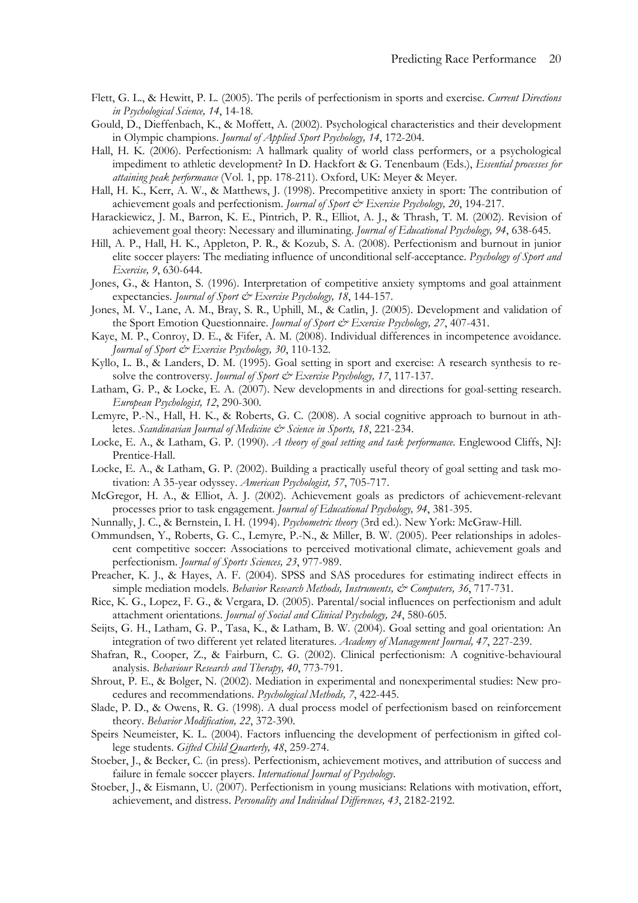- Flett, G. L., & Hewitt, P. L. (2005). The perils of perfectionism in sports and exercise. *Current Directions in Psychological Science, 14*, 14-18.
- Gould, D., Dieffenbach, K., & Moffett, A. (2002). Psychological characteristics and their development in Olympic champions. *Journal of Applied Sport Psychology, 14*, 172-204.
- Hall, H. K. (2006). Perfectionism: A hallmark quality of world class performers, or a psychological impediment to athletic development? In D. Hackfort & G. Tenenbaum (Eds.), *Essential processes for attaining peak performance* (Vol. 1, pp. 178-211). Oxford, UK: Meyer & Meyer.
- Hall, H. K., Kerr, A. W., & Matthews, J. (1998). Precompetitive anxiety in sport: The contribution of achievement goals and perfectionism. *Journal of Sport & Exercise Psychology*, 20, 194-217.
- Harackiewicz, J. M., Barron, K. E., Pintrich, P. R., Elliot, A. J., & Thrash, T. M. (2002). Revision of achievement goal theory: Necessary and illuminating. *Journal of Educational Psychology, 94*, 638-645.
- Hill, A. P., Hall, H. K., Appleton, P. R., & Kozub, S. A. (2008). Perfectionism and burnout in junior elite soccer players: The mediating influence of unconditional self-acceptance. *Psychology of Sport and Exercise, 9*, 630-644.
- Jones, G., & Hanton, S. (1996). Interpretation of competitive anxiety symptoms and goal attainment expectancies. *Journal of Sport & Exercise Psychology*, 18, 144-157.
- Jones, M. V., Lane, A. M., Bray, S. R., Uphill, M., & Catlin, J. (2005). Development and validation of the Sport Emotion Questionnaire. *Journal of Sport & Exercise Psychology*, 27, 407-431.
- Kaye, M. P., Conroy, D. E., & Fifer, A. M. (2008). Individual differences in incompetence avoidance. *Journal of Sport & Exercise Psychology, 30*, 110-132.
- Kyllo, L. B., & Landers, D. M. (1995). Goal setting in sport and exercise: A research synthesis to resolve the controversy. *Journal of Sport & Exercise Psychology*, 17, 117-137.
- Latham, G. P., & Locke, E. A. (2007). New developments in and directions for goal-setting research. *European Psychologist, 12*, 290-300.
- Lemyre, P.-N., Hall, H. K., & Roberts, G. C. (2008). A social cognitive approach to burnout in athletes. *Scandinavian Journal of Medicine & Science in Sports, 18, 221-234.*
- Locke, E. A., & Latham, G. P. (1990). *A theory of goal setting and task performance*. Englewood Cliffs, NJ: Prentice-Hall.
- Locke, E. A., & Latham, G. P. (2002). Building a practically useful theory of goal setting and task motivation: A 35-year odyssey. *American Psychologist, 57*, 705-717.
- McGregor, H. A., & Elliot, A. J. (2002). Achievement goals as predictors of achievement-relevant processes prior to task engagement. *Journal of Educational Psychology, 94*, 381-395.
- Nunnally, J. C., & Bernstein, I. H. (1994). *Psychometric theory* (3rd ed.). New York: McGraw-Hill.
- Ommundsen, Y., Roberts, G. C., Lemyre, P.-N., & Miller, B. W. (2005). Peer relationships in adolescent competitive soccer: Associations to perceived motivational climate, achievement goals and perfectionism. *Journal of Sports Sciences, 23*, 977-989.
- Preacher, K. J., & Hayes, A. F. (2004). SPSS and SAS procedures for estimating indirect effects in simple mediation models. *Behavior Research Methods, Instruments, & Computers, 36*, 717-731.
- Rice, K. G., Lopez, F. G., & Vergara, D. (2005). Parental/social influences on perfectionism and adult attachment orientations. *Journal of Social and Clinical Psychology, 24*, 580-605.
- Seijts, G. H., Latham, G. P., Tasa, K., & Latham, B. W. (2004). Goal setting and goal orientation: An integration of two different yet related literatures. *Academy of Management Journal, 47*, 227-239.
- Shafran, R., Cooper, Z., & Fairburn, C. G. (2002). Clinical perfectionism: A cognitive-behavioural analysis. *Behaviour Research and Therapy, 40*, 773-791.
- Shrout, P. E., & Bolger, N. (2002). Mediation in experimental and nonexperimental studies: New procedures and recommendations. *Psychological Methods, 7*, 422-445.
- Slade, P. D., & Owens, R. G. (1998). A dual process model of perfectionism based on reinforcement theory. *Behavior Modification, 22*, 372-390.
- Speirs Neumeister, K. L. (2004). Factors influencing the development of perfectionism in gifted college students. *Gifted Child Quarterly, 48*, 259-274.
- Stoeber, J., & Becker, C. (in press). Perfectionism, achievement motives, and attribution of success and failure in female soccer players. *International Journal of Psychology*.
- Stoeber, J., & Eismann, U. (2007). Perfectionism in young musicians: Relations with motivation, effort, achievement, and distress. *Personality and Individual Differences, 43*, 2182-2192.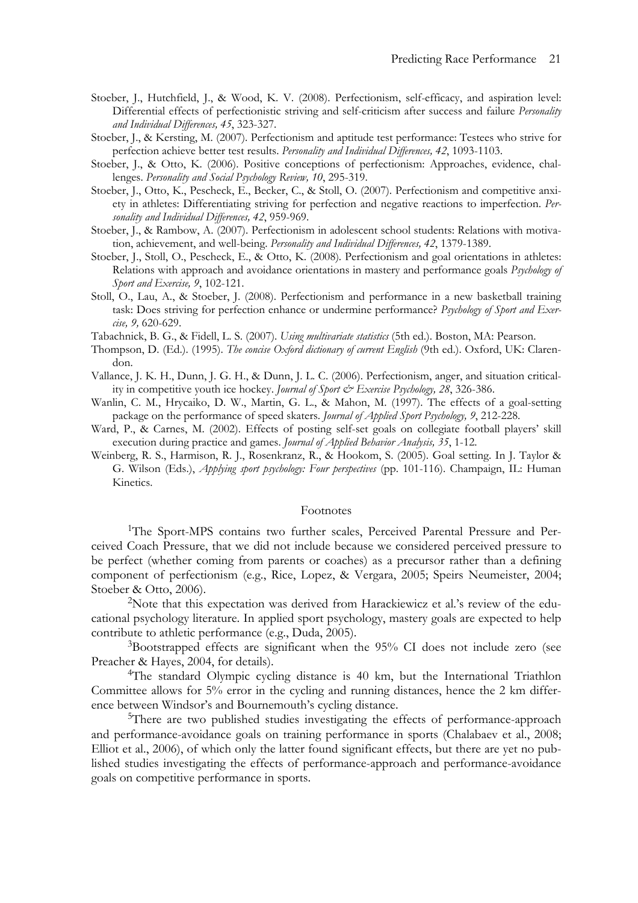- Stoeber, J., Hutchfield, J., & Wood, K. V. (2008). Perfectionism, self-efficacy, and aspiration level: Differential effects of perfectionistic striving and self-criticism after success and failure *Personality and Individual Differences, 45*, 323-327.
- Stoeber, J., & Kersting, M. (2007). Perfectionism and aptitude test performance: Testees who strive for perfection achieve better test results. *Personality and Individual Differences, 42*, 1093-1103.
- Stoeber, J., & Otto, K. (2006). Positive conceptions of perfectionism: Approaches, evidence, challenges. *Personality and Social Psychology Review, 10*, 295-319.
- Stoeber, J., Otto, K., Pescheck, E., Becker, C., & Stoll, O. (2007). Perfectionism and competitive anxiety in athletes: Differentiating striving for perfection and negative reactions to imperfection. *Personality and Individual Differences, 42*, 959-969.
- Stoeber, J., & Rambow, A. (2007). Perfectionism in adolescent school students: Relations with motivation, achievement, and well-being. *Personality and Individual Differences, 42*, 1379-1389.
- Stoeber, J., Stoll, O., Pescheck, E., & Otto, K. (2008). Perfectionism and goal orientations in athletes: Relations with approach and avoidance orientations in mastery and performance goals *Psychology of Sport and Exercise, 9*, 102-121.
- Stoll, O., Lau, A., & Stoeber, J. (2008). Perfectionism and performance in a new basketball training task: Does striving for perfection enhance or undermine performance? *Psychology of Sport and Exercise, 9,* 620-629.
- Tabachnick, B. G., & Fidell, L. S. (2007). *Using multivariate statistics* (5th ed.). Boston, MA: Pearson.
- Thompson, D. (Ed.). (1995). *The concise Oxford dictionary of current English* (9th ed.). Oxford, UK: Clarendon.
- Vallance, J. K. H., Dunn, J. G. H., & Dunn, J. L. C. (2006). Perfectionism, anger, and situation criticality in competitive youth ice hockey. *Journal of Sport & Exercise Psychology*, 28, 326-386.
- Wanlin, C. M., Hrycaiko, D. W., Martin, G. L., & Mahon, M. (1997). The effects of a goal-setting package on the performance of speed skaters. *Journal of Applied Sport Psychology, 9*, 212-228.
- Ward, P., & Carnes, M. (2002). Effects of posting self-set goals on collegiate football players' skill execution during practice and games. *Journal of Applied Behavior Analysis, 35*, 1-12.
- Weinberg, R. S., Harmison, R. J., Rosenkranz, R., & Hookom, S. (2005). Goal setting. In J. Taylor & G. Wilson (Eds.), *Applying sport psychology: Four perspectives* (pp. 101-116). Champaign, IL: Human Kinetics.

#### Footnotes

<sup>1</sup>The Sport-MPS contains two further scales, Perceived Parental Pressure and Perceived Coach Pressure, that we did not include because we considered perceived pressure to be perfect (whether coming from parents or coaches) as a precursor rather than a defining component of perfectionism (e.g., Rice, Lopez, & Vergara, 2005; Speirs Neumeister, 2004; Stoeber & Otto, 2006).

<sup>2</sup>Note that this expectation was derived from Harackiewicz et al.'s review of the educational psychology literature. In applied sport psychology, mastery goals are expected to help contribute to athletic performance (e.g., Duda, 2005).

<sup>3</sup>Bootstrapped effects are significant when the 95% CI does not include zero (see Preacher & Hayes, 2004, for details).

<sup>4</sup>The standard Olympic cycling distance is 40 km, but the International Triathlon Committee allows for 5% error in the cycling and running distances, hence the 2 km difference between Windsor's and Bournemouth's cycling distance.

<sup>5</sup>There are two published studies investigating the effects of performance-approach and performance-avoidance goals on training performance in sports (Chalabaev et al., 2008; Elliot et al., 2006), of which only the latter found significant effects, but there are yet no published studies investigating the effects of performance-approach and performance-avoidance goals on competitive performance in sports.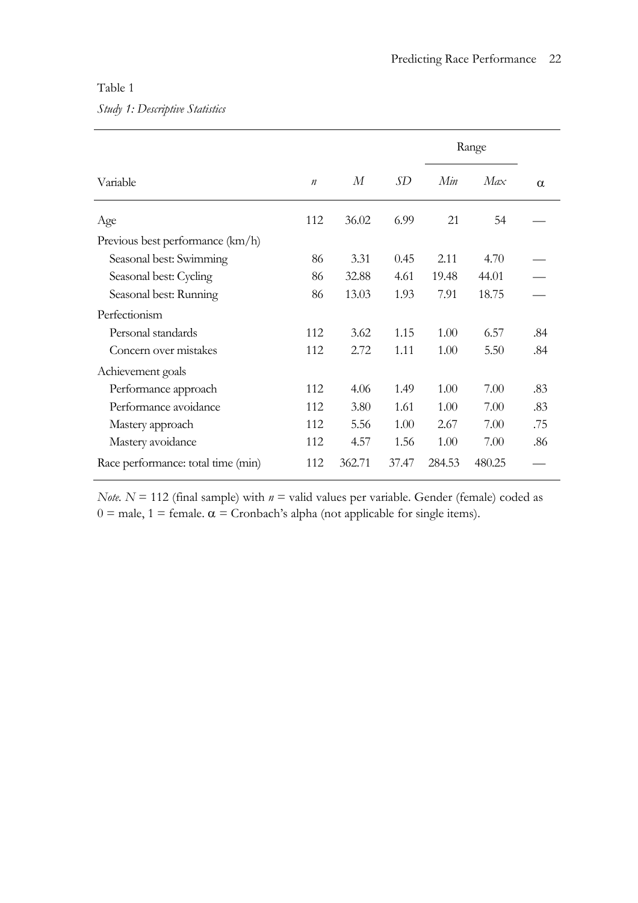### Table 1 *Study 1: Descriptive Statistics*

|                                    |                  |                  |       |        | Range  |          |
|------------------------------------|------------------|------------------|-------|--------|--------|----------|
| Variable                           | $\boldsymbol{n}$ | $\boldsymbol{M}$ | SD    | Min    | Max    | $\alpha$ |
| Age                                | 112              | 36.02            | 6.99  | 21     | 54     |          |
| Previous best performance (km/h)   |                  |                  |       |        |        |          |
| Seasonal best: Swimming            | 86               | 3.31             | 0.45  | 2.11   | 4.70   |          |
| Seasonal best: Cycling             | 86               | 32.88            | 4.61  | 19.48  | 44.01  |          |
| Seasonal best: Running             | 86               | 13.03            | 1.93  | 7.91   | 18.75  |          |
| Perfectionism                      |                  |                  |       |        |        |          |
| Personal standards                 | 112              | 3.62             | 1.15  | 1.00   | 6.57   | .84      |
| Concern over mistakes              | 112              | 2.72             | 1.11  | 1.00   | 5.50   | .84      |
| Achievement goals                  |                  |                  |       |        |        |          |
| Performance approach               | 112              | 4.06             | 1.49  | 1.00   | 7.00   | .83      |
| Performance avoidance              | 112              | 3.80             | 1.61  | 1.00   | 7.00   | .83      |
| Mastery approach                   | 112              | 5.56             | 1.00  | 2.67   | 7.00   | .75      |
| Mastery avoidance                  | 112              | 4.57             | 1.56  | 1.00   | 7.00   | .86      |
| Race performance: total time (min) | 112              | 362.71           | 37.47 | 284.53 | 480.25 |          |

*Note.*  $N = 112$  (final sample) with  $n =$  valid values per variable. Gender (female) coded as  $0 =$  male,  $1 =$  female.  $\alpha =$  Cronbach's alpha (not applicable for single items).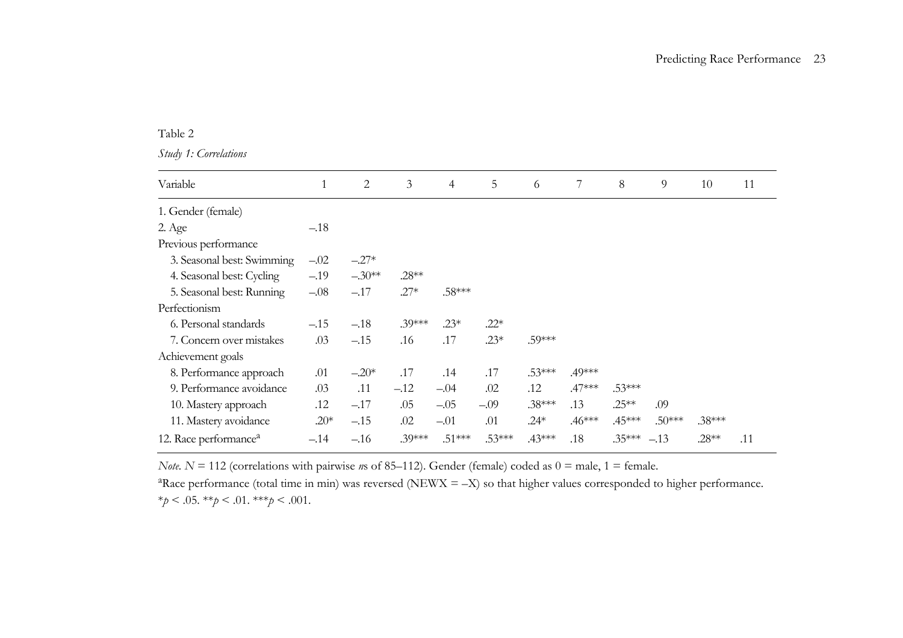*Study 1: Correlations* 

| Variable                          | 1      | $\overline{2}$ | 3       | $\overline{4}$ | 5       | 6        | 7        | $8\,$    | 9        | 10      | 11  |
|-----------------------------------|--------|----------------|---------|----------------|---------|----------|----------|----------|----------|---------|-----|
| 1. Gender (female)                |        |                |         |                |         |          |          |          |          |         |     |
| $2. \text{Age}$                   | $-.18$ |                |         |                |         |          |          |          |          |         |     |
| Previous performance              |        |                |         |                |         |          |          |          |          |         |     |
| 3. Seasonal best: Swimming        | $-.02$ | $-.27*$        |         |                |         |          |          |          |          |         |     |
| 4. Seasonal best: Cycling         | $-.19$ | $-.30**$       | $.28**$ |                |         |          |          |          |          |         |     |
| 5. Seasonal best: Running         | $-.08$ | $-.17$         | $.27*$  | .58***         |         |          |          |          |          |         |     |
| Perfectionism                     |        |                |         |                |         |          |          |          |          |         |     |
| 6. Personal standards             | $-.15$ | $-.18$         | .39***  | $.23*$         | $.22*$  |          |          |          |          |         |     |
| 7. Concern over mistakes          | .03    | $-.15$         | .16     | .17            | $.23*$  | .59***   |          |          |          |         |     |
| Achievement goals                 |        |                |         |                |         |          |          |          |          |         |     |
| 8. Performance approach           | .01    | $-.20*$        | .17     | .14            | .17     | .53***   | .49***   |          |          |         |     |
| 9. Performance avoidance          | .03    | .11            | $-.12$  | $-.04$         | .02     | .12      | $.47***$ | $.53***$ |          |         |     |
| 10. Mastery approach              | .12    | $-.17$         | .05     | $-.05$         | $-0.09$ | .38***   | .13      | $.25**$  | .09      |         |     |
| 11. Mastery avoidance             | $.20*$ | $-.15$         | .02     | $-01$          | .01     | $.24*$   | $.46***$ | $.45***$ | $.50***$ | .38***  |     |
| 12. Race performance <sup>a</sup> | $-.14$ | $-.16$         | .39***  | $.51***$       | .53***  | $.43***$ | .18      | $.35***$ | $-.13$   | $.28**$ | .11 |

*Note.*  $N = 112$  (correlations with pairwise *n*s of 85–112). Gender (female) coded as  $0 =$  male,  $1 =$  female.

<sup>a</sup>Race performance (total time in min) was reversed (NEWX =  $-X$ ) so that higher values corresponded to higher performance.  $*_{p}$  < .05.  $*_{p}$  < .01.  $*_{p}$  < .001.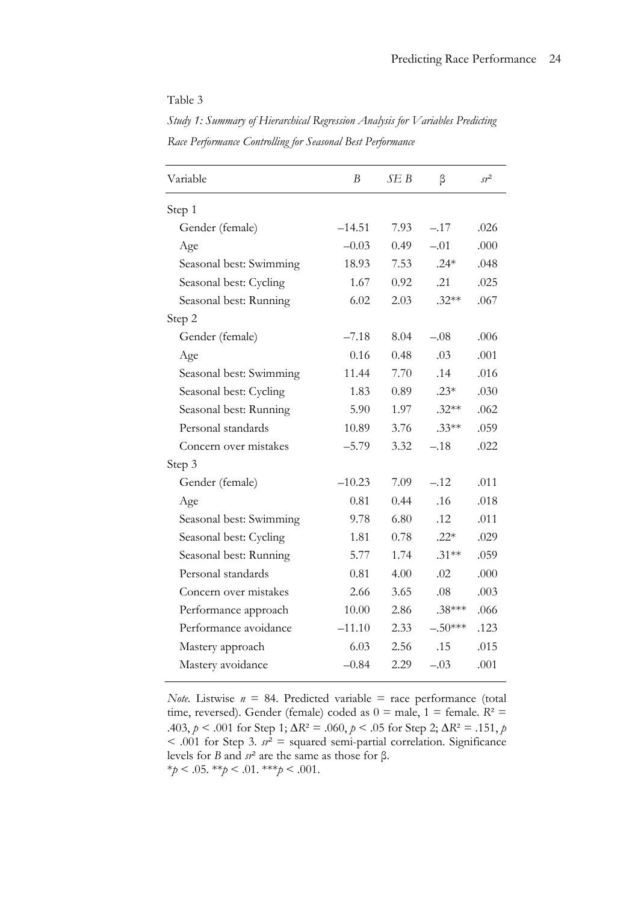*Study 1: Summary of Hierarchical Regression Analysis for Variables Predicting Race Performance Controlling for Seasonal Best Performance* 

| Variable                | B        | SEB  | β         | $sr^2$ |
|-------------------------|----------|------|-----------|--------|
| Step 1                  |          |      |           |        |
| Gender (female)         | $-14.51$ | 7.93 | $-.17$    | .026   |
| Age                     | $-0.03$  | 0.49 | $-.01$    | .000   |
| Seasonal best: Swimming | 18.93    | 7.53 | $.24*$    | .048   |
| Seasonal best: Cycling  | 1.67     | 0.92 | .21       | .025   |
| Seasonal best: Running  | 6.02     | 2.03 | $.32**$   | .067   |
| Step 2                  |          |      |           |        |
| Gender (female)         | $-7.18$  | 8.04 | $-.08$    | .006   |
| Age                     | 0.16     | 0.48 | .03       | .001   |
| Seasonal best: Swimming | 11.44    | 7.70 | .14       | .016   |
| Seasonal best: Cycling  | 1.83     | 0.89 | $.23*$    | .030   |
| Seasonal best: Running  | 5.90     | 1.97 | $.32**$   | .062   |
| Personal standards      | 10.89    | 3.76 | $.33**$   | .059   |
| Concern over mistakes   | $-5.79$  | 3.32 | $-.18$    | .022   |
| Step 3                  |          |      |           |        |
| Gender (female)         | $-10.23$ | 7.09 | $-.12$    | .011   |
| Age                     | 0.81     | 0.44 | .16       | .018   |
| Seasonal best: Swimming | 9.78     | 6.80 | .12       | .011   |
| Seasonal best: Cycling  | 1.81     | 0.78 | $.22*$    | .029   |
| Seasonal best: Running  | 5.77     | 1.74 | $.31***$  | .059   |
| Personal standards      | 0.81     | 4.00 | .02       | .000   |
| Concern over mistakes   | 2.66     | 3.65 | .08       | .003   |
| Performance approach    | 10.00    | 2.86 | $.38***$  | .066   |
| Performance avoidance   | $-11.10$ | 2.33 | $-.50***$ | .123   |
| Mastery approach        | 6.03     | 2.56 | .15       | .015   |
| Mastery avoidance       | $-0.84$  | 2.29 | $-.03$    | .001   |
|                         |          |      |           |        |

*Note.* Listwise  $n = 84$ . Predicted variable = race performance (total time, reversed). Gender (female) coded as 0 = male, 1 = female. *R*² = .403, *p* < .001 for Step 1; ∆*R*² = .060, *p* < .05 for Step 2; ∆*R*² = .151, *p*  $<$  .001 for Step 3.  $s<sup>2</sup>$  = squared semi-partial correlation. Significance levels for *B* and  $sr^2$  are the same as those for  $\beta$ . \**p* < .05. \*\**p* < .01. \*\*\**p* < .001.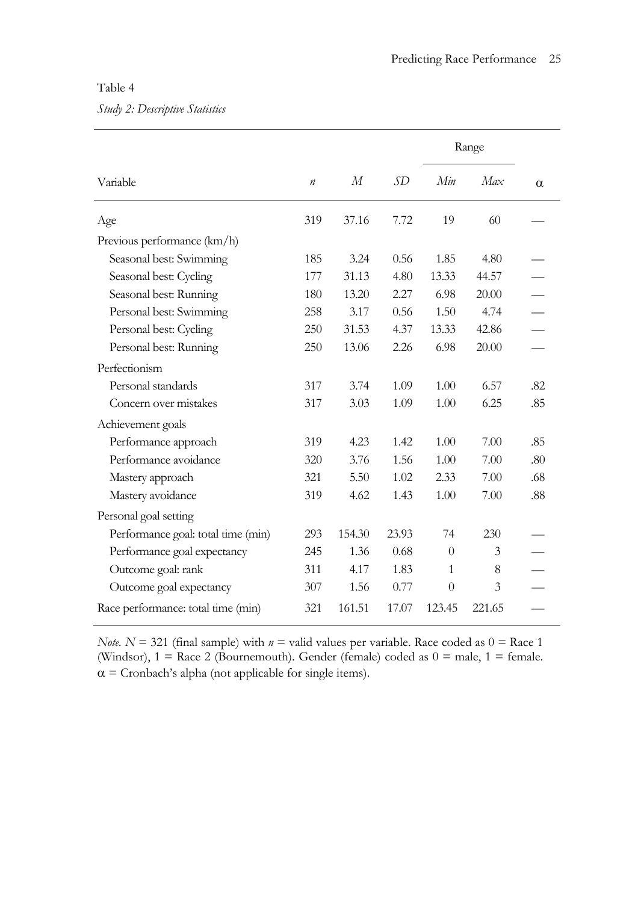#### *Study 2: Descriptive Statistics*

|                                    |                  |                  |       |                | Range  |          |
|------------------------------------|------------------|------------------|-------|----------------|--------|----------|
| Variable                           | $\boldsymbol{n}$ | $\boldsymbol{M}$ | SD    | Min            | Max    | $\alpha$ |
| Age                                | 319              | 37.16            | 7.72  | 19             | 60     |          |
| Previous performance (km/h)        |                  |                  |       |                |        |          |
| Seasonal best: Swimming            | 185              | 3.24             | 0.56  | 1.85           | 4.80   |          |
| Seasonal best: Cycling             | 177              | 31.13            | 4.80  | 13.33          | 44.57  |          |
| Seasonal best: Running             | 180              | 13.20            | 2.27  | 6.98           | 20.00  |          |
| Personal best: Swimming            | 258              | 3.17             | 0.56  | 1.50           | 4.74   |          |
| Personal best: Cycling             | 250              | 31.53            | 4.37  | 13.33          | 42.86  |          |
| Personal best: Running             | 250              | 13.06            | 2.26  | 6.98           | 20.00  |          |
| Perfectionism                      |                  |                  |       |                |        |          |
| Personal standards                 | 317              | 3.74             | 1.09  | 1.00           | 6.57   | .82      |
| Concern over mistakes              | 317              | 3.03             | 1.09  | 1.00           | 6.25   | .85      |
| Achievement goals                  |                  |                  |       |                |        |          |
| Performance approach               | 319              | 4.23             | 1.42  | 1.00           | 7.00   | .85      |
| Performance avoidance              | 320              | 3.76             | 1.56  | 1.00           | 7.00   | .80      |
| Mastery approach                   | 321              | 5.50             | 1.02  | 2.33           | 7.00   | .68      |
| Mastery avoidance                  | 319              | 4.62             | 1.43  | 1.00           | 7.00   | .88      |
| Personal goal setting              |                  |                  |       |                |        |          |
| Performance goal: total time (min) | 293              | 154.30           | 23.93 | 74             | 230    |          |
| Performance goal expectancy        | 245              | 1.36             | 0.68  | $\overline{0}$ | 3      |          |
| Outcome goal: rank                 | 311              | 4.17             | 1.83  | 1              | 8      |          |
| Outcome goal expectancy            | 307              | 1.56             | 0.77  | $\overline{0}$ | 3      |          |
| Race performance: total time (min) | 321              | 161.51           | 17.07 | 123.45         | 221.65 |          |

*Note.*  $N = 321$  (final sample) with  $n =$  valid values per variable. Race coded as  $0 =$  Race 1 (Windsor),  $1 = \text{Race } 2$  (Bournemouth). Gender (female) coded as  $0 = \text{male}$ ,  $1 = \text{female}$ .  $\alpha$  = Cronbach's alpha (not applicable for single items).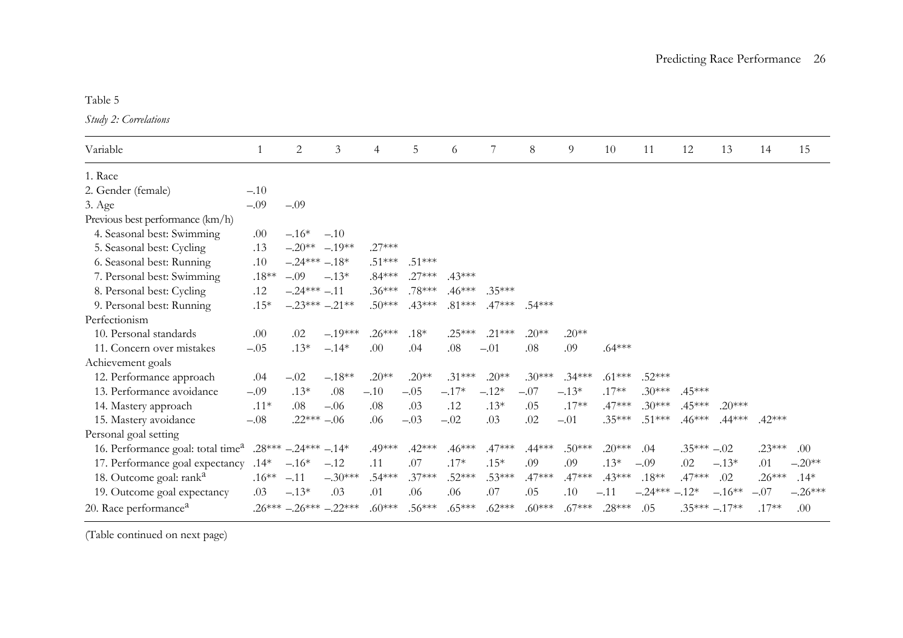*Study 2: Correlations* 

| Variable                                      | $\mathbf{1}$ | $\mathbf{2}$         | $\mathfrak{Z}$         | 4        | 5        | 6        | 7        | 8        | 9        | 10       | 11        | 12             | 13       | 14       | 15        |
|-----------------------------------------------|--------------|----------------------|------------------------|----------|----------|----------|----------|----------|----------|----------|-----------|----------------|----------|----------|-----------|
| 1. Race                                       |              |                      |                        |          |          |          |          |          |          |          |           |                |          |          |           |
| 2. Gender (female)                            | $-.10$       |                      |                        |          |          |          |          |          |          |          |           |                |          |          |           |
| $3. \text{Age}$                               | $-.09$       | $-.09$               |                        |          |          |          |          |          |          |          |           |                |          |          |           |
| Previous best performance (km/h)              |              |                      |                        |          |          |          |          |          |          |          |           |                |          |          |           |
| 4. Seasonal best: Swimming                    | .00          | $-.16*$              | $-.10$                 |          |          |          |          |          |          |          |           |                |          |          |           |
| 5. Seasonal best: Cycling                     | .13          | $-.20**$             | $-.19**$               | $.27***$ |          |          |          |          |          |          |           |                |          |          |           |
| 6. Seasonal best: Running                     | .10          | $-.24***-.18*$       |                        | $.51***$ | $.51***$ |          |          |          |          |          |           |                |          |          |           |
| 7. Personal best: Swimming                    | $.18**$      | $-.09$               | $-.13*$                | $.84***$ | $.27***$ | $.43***$ |          |          |          |          |           |                |          |          |           |
| 8. Personal best: Cycling                     | .12          | $-.24***-.11$        |                        | $.36***$ | .78***   | $.46***$ | $.35***$ |          |          |          |           |                |          |          |           |
| 9. Personal best: Running                     | $.15*$       |                      | $-.23***-.21**$        | $.50***$ | $.43***$ | $.81***$ | $.47***$ | $.54***$ |          |          |           |                |          |          |           |
| Perfectionism                                 |              |                      |                        |          |          |          |          |          |          |          |           |                |          |          |           |
| 10. Personal standards                        | .00          | .02                  | $-.19***$              | $.26***$ | $.18*$   | $.25***$ | $.21***$ | $.20**$  | $.20**$  |          |           |                |          |          |           |
| 11. Concern over mistakes                     | $-.05$       | $.13*$               | $-.14*$                | .00      | .04      | .08      | $-.01$   | .08      | .09      | $.64***$ |           |                |          |          |           |
| Achievement goals                             |              |                      |                        |          |          |          |          |          |          |          |           |                |          |          |           |
| 12. Performance approach                      | .04          | $-.02$               | $-.18**$               | $.20**$  | $.20**$  | $.31***$ | $.20**$  | $.30***$ | $.34***$ | $.61***$ | $.52***$  |                |          |          |           |
| 13. Performance avoidance                     | $-.09$       | $.13*$               | .08                    | $-.10$   | $-.05$   | $-.17*$  | $-.12*$  | $-.07$   | $-.13*$  | $.17**$  | $.30***$  | $.45***$       |          |          |           |
| 14. Mastery approach                          | $.11*$       | .08                  | $-.06$                 | .08      | .03      | .12      | $.13*$   | .05      | $.17**$  | $.47***$ | $.30***$  | $.45***$       | $.20***$ |          |           |
| 15. Mastery avoidance                         | $-.08$       |                      | $.22***-.06$           | .06      | $-.03$   | $-.02$   | .03      | .02      | $-.01$   | $.35***$ | $.51***$  | $.46***$       | $.44***$ | $.42***$ |           |
| Personal goal setting                         |              |                      |                        |          |          |          |          |          |          |          |           |                |          |          |           |
| 16. Performance goal: total time <sup>a</sup> |              | $.28***-.24***-.14*$ |                        | $.49***$ | $.42***$ | $.46***$ | .47***   | $.44***$ | $.50***$ | $.20***$ | .04       | $.35***-.02$   |          | $.23***$ | .00       |
| 17. Performance goal expectancy               | $.14*$       | $-.16*$              | $-.12$                 | .11      | .07      | $.17*$   | $.15*$   | .09      | .09      | $.13*$   | $-.09$    | .02            | $-.13*$  | .01      | $-.20**$  |
| 18. Outcome goal: rank <sup>a</sup>           | $.16**$      | $-.11$               | $-.30***$              | $.54***$ | $.37***$ | $.52***$ | $.53***$ | $.47***$ | $.47***$ | $.43***$ | $.18**$   | .47***         | .02      | $.26***$ | $.14*$    |
| 19. Outcome goal expectancy                   | .03          | $-.13*$              | .03                    | .01      | .06      | .06      | .07      | .05      | .10      | $-.11$   | $-.24***$ | $-.12*$        | $-.16**$ | $-.07$   | $-.26***$ |
| 20. Race performance <sup>a</sup>             |              |                      | $.26***-.26***-.22***$ | $.60***$ | $.56***$ | $.65***$ | $.62***$ | $.60***$ | $.67***$ | $.28***$ | .05       | $.35***-.17**$ |          | $.17**$  | .00       |

(Table continued on next page)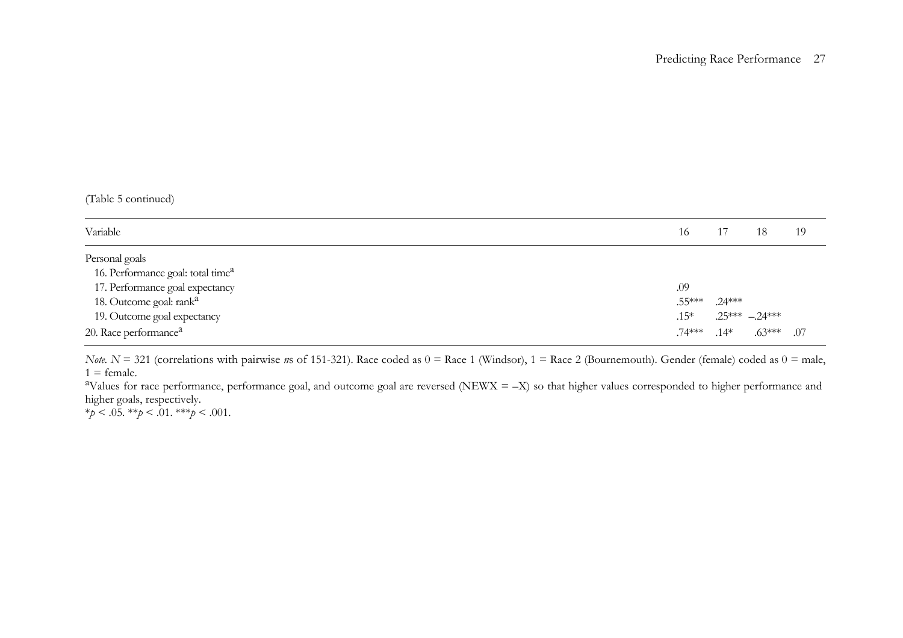(Table 5 continued)

| Variable                                      | 16       |                 | 18       | 19  |
|-----------------------------------------------|----------|-----------------|----------|-----|
| Personal goals                                |          |                 |          |     |
| 16. Performance goal: total time <sup>a</sup> |          |                 |          |     |
| 17. Performance goal expectancy               | .09      |                 |          |     |
| 18. Outcome goal: rank <sup>a</sup>           | $.55***$ | $.24***$        |          |     |
| 19. Outcome goal expectancy                   | $.15*$   | $.25***-.24***$ |          |     |
| 20. Race performance <sup>a</sup>             | 74***    | $.14*$          | $.63***$ | .07 |

*Note.*  $N = 321$  (correlations with pairwise *n*s of 151-321). Race coded as  $0 =$  Race 1 (Windsor),  $1 =$  Race 2 (Bournemouth). Gender (female) coded as  $0 =$  male,  $1 =$  female.

<sup>a</sup>Values for race performance, performance goal, and outcome goal are reversed (NEWX = -X) so that higher values corresponded to higher performance and higher goals, respectively.

 $*_{p} < .05.$  \*\**p* < .01. \*\*\**p* < .001.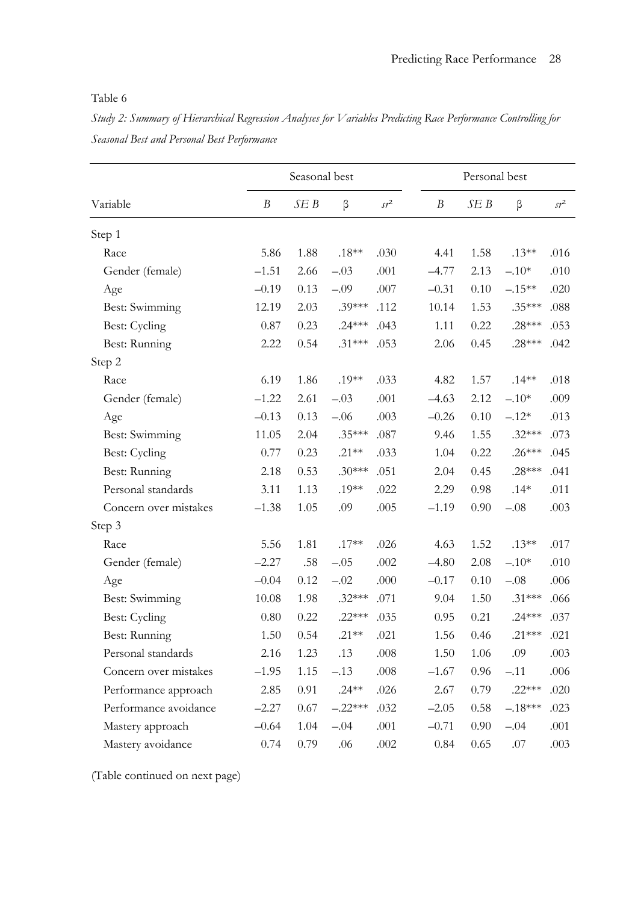|                       |                  | Seasonal best |           |        |                  | Personal best |           |        |
|-----------------------|------------------|---------------|-----------|--------|------------------|---------------|-----------|--------|
| Variable              | $\boldsymbol{B}$ | SE B          | β         | $sr^2$ | $\boldsymbol{B}$ | SE B          | β         | $sr^2$ |
| Step 1                |                  |               |           |        |                  |               |           |        |
| Race                  | 5.86             | 1.88          | $.18**$   | .030   | 4.41             | 1.58          | $.13***$  | .016   |
| Gender (female)       | $-1.51$          | 2.66          | $-.03$    | .001   | $-4.77$          | 2.13          | $-.10*$   | .010   |
| Age                   | $-0.19$          | 0.13          | $-.09$    | .007   | $-0.31$          | 0.10          | $-.15**$  | .020   |
| Best: Swimming        | 12.19            | 2.03          | $.39***$  | .112   | 10.14            | 1.53          | $.35***$  | .088   |
| <b>Best: Cycling</b>  | 0.87             | 0.23          | $.24***$  | .043   | 1.11             | 0.22          | $.28***$  | .053   |
| Best: Running         | 2.22             | 0.54          | $.31***$  | .053   | 2.06             | 0.45          | $.28***$  | .042   |
| Step 2                |                  |               |           |        |                  |               |           |        |
| Race                  | 6.19             | 1.86          | $.19**$   | .033   | 4.82             | 1.57          | $.14**$   | .018   |
| Gender (female)       | $-1.22$          | 2.61          | $-.03$    | .001   | $-4.63$          | 2.12          | $-.10*$   | .009   |
| Age                   | $-0.13$          | 0.13          | $-.06$    | .003   | $-0.26$          | 0.10          | $-.12*$   | .013   |
| Best: Swimming        | 11.05            | 2.04          | $.35***$  | .087   | 9.46             | 1.55          | $.32***$  | .073   |
| Best: Cycling         | 0.77             | 0.23          | $.21**$   | .033   | 1.04             | 0.22          | $.26***$  | .045   |
| Best: Running         | 2.18             | 0.53          | $.30***$  | .051   | 2.04             | 0.45          | $.28***$  | .041   |
| Personal standards    | 3.11             | 1.13          | $.19**$   | .022   | 2.29             | 0.98          | $.14*$    | .011   |
| Concern over mistakes | $-1.38$          | 1.05          | .09       | .005   | $-1.19$          | 0.90          | $-.08$    | .003   |
| Step 3                |                  |               |           |        |                  |               |           |        |
| Race                  | 5.56             | 1.81          | $.17**$   | .026   | 4.63             | 1.52          | $.13***$  | .017   |
| Gender (female)       | $-2.27$          | .58           | $-.05$    | .002   | $-4.80$          | 2.08          | $-.10*$   | .010   |
| Age                   | $-0.04$          | 0.12          | $-.02$    | .000   | $-0.17$          | 0.10          | $-.08$    | .006   |
| Best: Swimming        | $10.08\,$        | 1.98          | $.32***$  | .071   | 9.04             | 1.50          | $.31***$  | .066   |
| <b>Best: Cycling</b>  | 0.80             | 0.22          | $.22***$  | .035   | 0.95             | 0.21          | $.24***$  | .037   |
| Best: Running         | 1.50             | 0.54          | $.21**$   | .021   | 1.56             | 0.46          | $.21***$  | .021   |
| Personal standards    | 2.16             | 1.23          | .13       | .008   | 1.50             | 1.06          | .09       | .003   |
| Concern over mistakes | $-1.95$          | 1.15          | $-.13$    | $.008$ | $-1.67$          | 0.96          | $-.11$    | .006   |
| Performance approach  | 2.85             | 0.91          | $.24***$  | .026   | 2.67             | 0.79          | $.22***$  | .020   |
| Performance avoidance | $-2.27$          | 0.67          | $-.22***$ | .032   | $-2.05$          | 0.58          | $-.18***$ | .023   |
| Mastery approach      | $-0.64$          | 1.04          | $-.04$    | .001   | $-0.71$          | 0.90          | $-.04$    | .001   |
| Mastery avoidance     | 0.74             | 0.79          | .06       | .002   | 0.84             | 0.65          | .07       | .003   |

*Study 2: Summary of Hierarchical Regression Analyses for Variables Predicting Race Performance Controlling for Seasonal Best and Personal Best Performance* 

(Table continued on next page)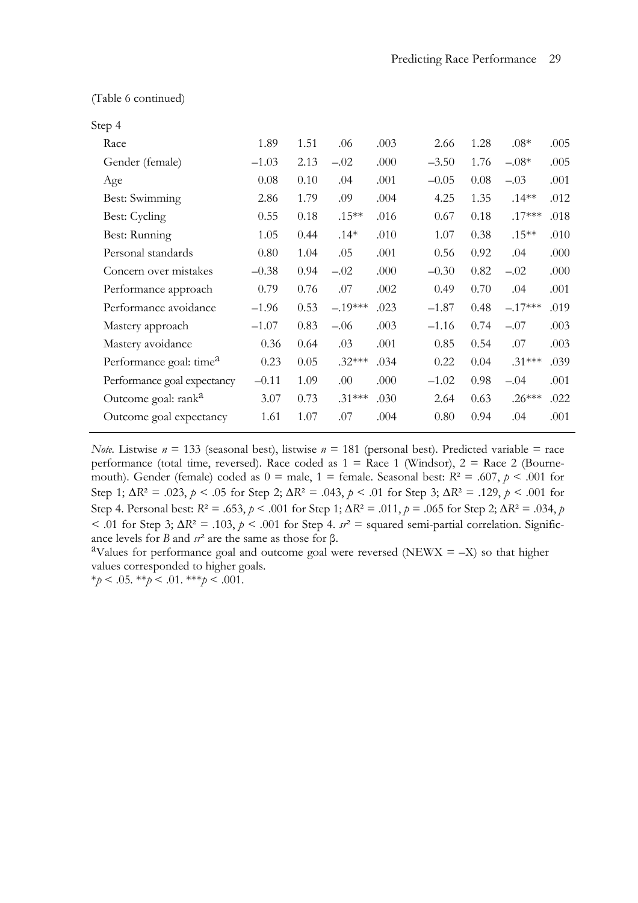| Step 4                              |         |      |           |      |         |      |           |      |
|-------------------------------------|---------|------|-----------|------|---------|------|-----------|------|
| Race                                | 1.89    | 1.51 | .06       | .003 | 2.66    | 1.28 | $.08*$    | .005 |
| Gender (female)                     | $-1.03$ | 2.13 | $-.02$    | .000 | $-3.50$ | 1.76 | $-.08*$   | .005 |
| Age                                 | 0.08    | 0.10 | .04       | .001 | $-0.05$ | 0.08 | $-.03$    | .001 |
| Best: Swimming                      | 2.86    | 1.79 | .09       | .004 | 4.25    | 1.35 | $.14***$  | .012 |
| Best: Cycling                       | 0.55    | 0.18 | $.15***$  | .016 | 0.67    | 0.18 | $.17***$  | .018 |
| Best: Running                       | 1.05    | 0.44 | $.14*$    | .010 | 1.07    | 0.38 | $.15***$  | .010 |
| Personal standards                  | 0.80    | 1.04 | .05       | .001 | 0.56    | 0.92 | .04       | .000 |
| Concern over mistakes               | $-0.38$ | 0.94 | $-.02$    | .000 | $-0.30$ | 0.82 | $-.02$    | .000 |
| Performance approach                | 0.79    | 0.76 | .07       | .002 | 0.49    | 0.70 | .04       | .001 |
| Performance avoidance               | $-1.96$ | 0.53 | $-.19***$ | .023 | $-1.87$ | 0.48 | $-.17***$ | .019 |
| Mastery approach                    | $-1.07$ | 0.83 | $-.06$    | .003 | $-1.16$ | 0.74 | $-.07$    | .003 |
| Mastery avoidance                   | 0.36    | 0.64 | .03       | .001 | 0.85    | 0.54 | .07       | .003 |
| Performance goal: time <sup>a</sup> | 0.23    | 0.05 | $.32***$  | .034 | 0.22    | 0.04 | $.31***$  | .039 |
| Performance goal expectancy         | $-0.11$ | 1.09 | .00       | .000 | $-1.02$ | 0.98 | $-.04$    | .001 |
| Outcome goal: rank <sup>a</sup>     | 3.07    | 0.73 | $.31***$  | .030 | 2.64    | 0.63 | $.26***$  | .022 |
| Outcome goal expectancy             | 1.61    | 1.07 | .07       | .004 | 0.80    | 0.94 | .04       | .001 |
|                                     |         |      |           |      |         |      |           |      |

(Table 6 continued)

*Note.* Listwise  $n = 133$  (seasonal best), listwise  $n = 181$  (personal best). Predicted variable = race performance (total time, reversed). Race coded as  $1 =$  Race 1 (Windsor),  $2 =$  Race 2 (Bournemouth). Gender (female) coded as  $0 =$  male,  $1 =$  female. Seasonal best:  $R^2 = .607$ ,  $p < .001$  for Step 1; ∆*R*² = .023, *p* < .05 for Step 2; ∆*R*² = .043, *p* < .01 for Step 3; ∆*R*² = .129, *p* < .001 for Step 4. Personal best: *R*² = .653, *p* < .001 for Step 1; ∆*R*² = .011, *p* = .065 for Step 2; ∆*R*² = .034, *p* < .01 for Step 3; ∆*R*² = .103, *p* < .001 for Step 4. *sr*² = squared semi-partial correlation. Significance levels for *B* and  $s^2$  are the same as those for  $\beta$ .

<sup>a</sup>Values for performance goal and outcome goal were reversed (NEWX =  $-X$ ) so that higher values corresponded to higher goals.

 $*_{p}$  < .05.  $*_{p}$  < .01.  $*_{p}$  < .001.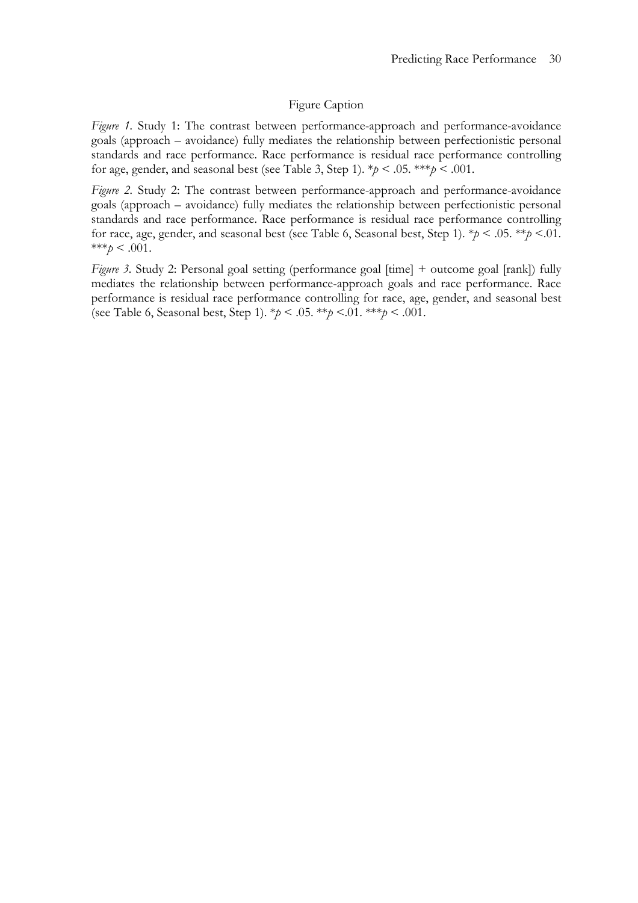#### Figure Caption

*Figure 1.* Study 1: The contrast between performance-approach and performance-avoidance goals (approach – avoidance) fully mediates the relationship between perfectionistic personal standards and race performance. Race performance is residual race performance controlling for age, gender, and seasonal best (see Table 3, Step 1).  $*\rho < .05$ .  $***p < .001$ .

*Figure 2.* Study 2: The contrast between performance-approach and performance-avoidance goals (approach – avoidance) fully mediates the relationship between perfectionistic personal standards and race performance. Race performance is residual race performance controlling for race, age, gender, and seasonal best (see Table 6, Seasonal best, Step 1).  $*\rho < .05$ .  $**\rho < .01$ . \*\*\**p* < .001.

*Figure 3.* Study 2: Personal goal setting (performance goal [time] + outcome goal [rank]) fully mediates the relationship between performance-approach goals and race performance. Race performance is residual race performance controlling for race, age, gender, and seasonal best (see Table 6, Seasonal best, Step 1).  $*\!p < .05$ .  $**\!p < .01$ .  $***\!p < .001$ .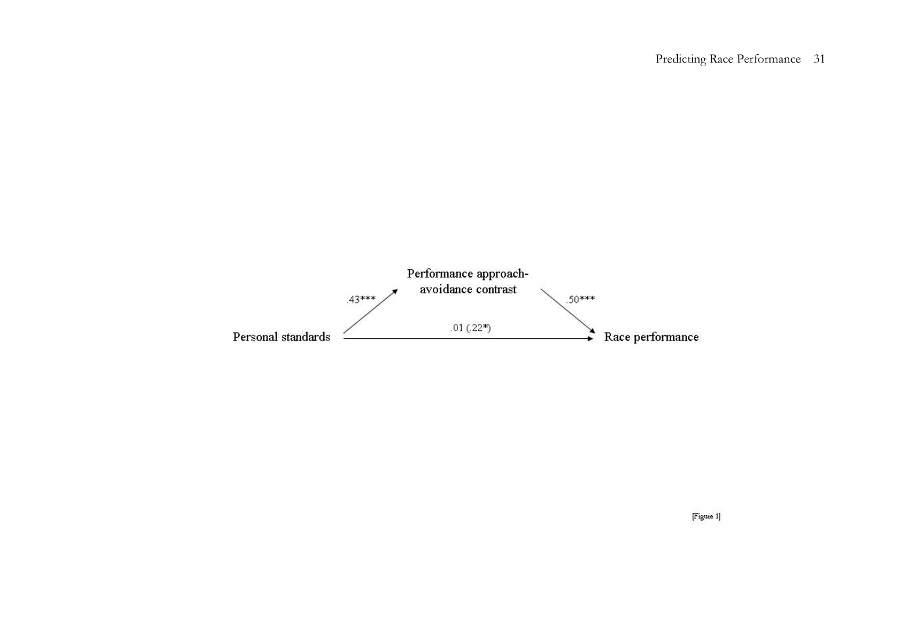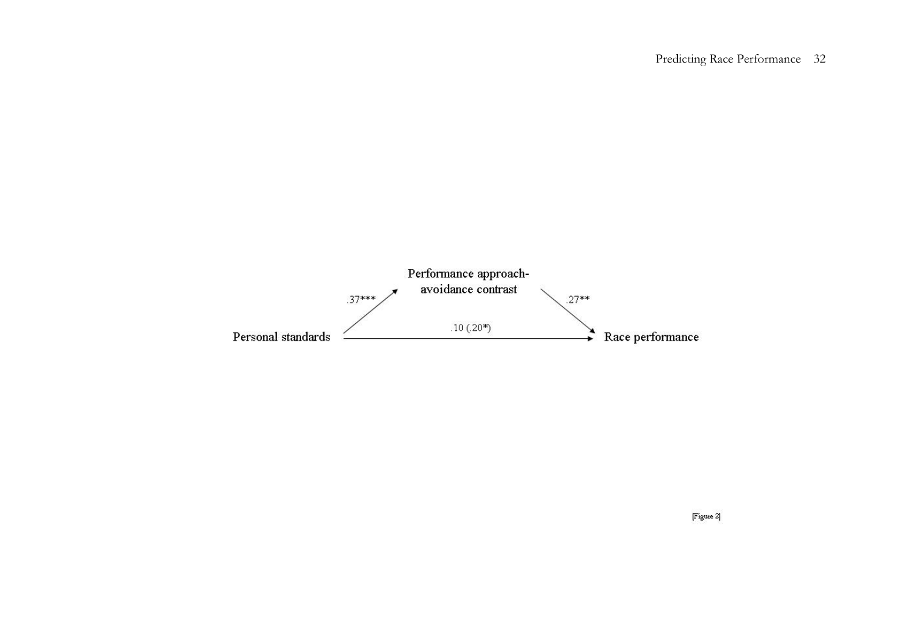